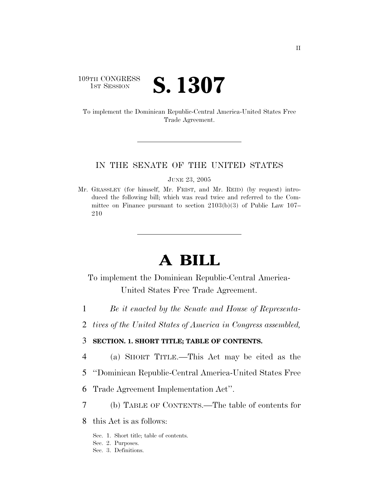# 109TH CONGRESS **1ST SESSION S. 1307**

To implement the Dominican Republic-Central America-United States Free Trade Agreement.

### IN THE SENATE OF THE UNITED STATES

JUNE 23, 2005

Mr. GRASSLEY (for himself, Mr. FRIST, and Mr. REID) (by request) introduced the following bill; which was read twice and referred to the Committee on Finance pursuant to section 2103(b)(3) of Public Law 107– 210

# **A BILL**

To implement the Dominican Republic-Central America-United States Free Trade Agreement.

- 1 *Be it enacted by the Senate and House of Representa-*
- 2 *tives of the United States of America in Congress assembled,*

# 3 **SECTION. 1. SHORT TITLE; TABLE OF CONTENTS.**

- 4 (a) SHORT TITLE.—This Act may be cited as the
- 5 ''Dominican Republic-Central America-United States Free
- 6 Trade Agreement Implementation Act''.
- 7 (b) TABLE OF CONTENTS.—The table of contents for
- 8 this Act is as follows:
	- Sec. 1. Short title; table of contents.
	- Sec. 2. Purposes.
	- Sec. 3. Definitions.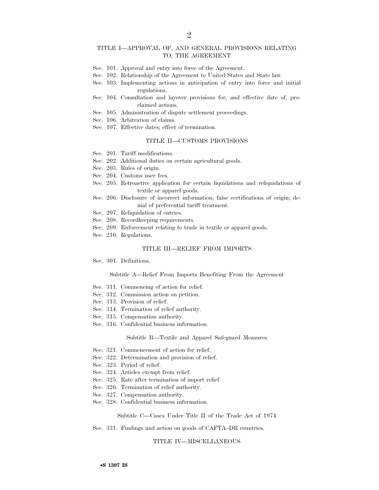#### TITLE I—APPROVAL OF, AND GENERAL PROVISIONS RELATING TO, THE AGREEMENT

- Sec. 101. Approval and entry into force of the Agreement.
- Sec. 102. Relationship of the Agreement to United States and State law.
- Sec. 103. Implementing actions in anticipation of entry into force and initial regulations.
- Sec. 104. Consultation and layover provisions for, and effective date of, proclaimed actions.
- Sec. 105. Administration of dispute settlement proceedings.
- Sec. 106. Arbitration of claims.
- Sec. 107. Effective dates; effect of termination.

### TITLE II—CUSTOMS PROVISIONS

- Sec. 201. Tariff modifications.
- Sec. 202. Additional duties on certain agricultural goods.
- Sec. 203. Rules of origin.
- Sec. 204. Customs user fees.
- Sec. 205. Retroactive application for certain liquidations and reliquidations of textile or apparel goods.
- Sec. 206. Disclosure of incorrect information; false certifications of origin; denial of preferential tariff treatment.
- Sec. 207. Reliquidation of entries.
- Sec. 208. Recordkeeping requirements.
- Sec. 209. Enforcement relating to trade in textile or apparel goods.
- Sec. 210. Regulations.

#### TITLE III—RELIEF FROM IMPORTS

Sec. 301. Definitions.

#### Subtitle A—Relief From Imports Benefiting From the Agreement

- Sec. 311. Commencing of action for relief.
- Sec. 312. Commission action on petition.
- Sec. 313. Provision of relief.
- Sec. 314. Termination of relief authority.
- Sec. 315. Compensation authority.
- Sec. 316. Confidential business information.

#### Subtitle B—Textile and Apparel Safeguard Measures

- Sec. 321. Commencement of action for relief.
- Sec. 322. Determination and provision of relief.
- Sec. 323. Period of relief.
- Sec. 324. Articles exempt from relief.
- Sec. 325. Rate after termination of import relief.
- Sec. 326. Termination of relief authority.
- Sec. 327. Compensation authority.
- Sec. 328. Confidential business information.

#### Subtitle C—Cases Under Title II of the Trade Act of 1974

#### Sec. 331. Findings and action on goods of CAFTA–DR countries.

#### TITLE IV—MISCELLANEOUS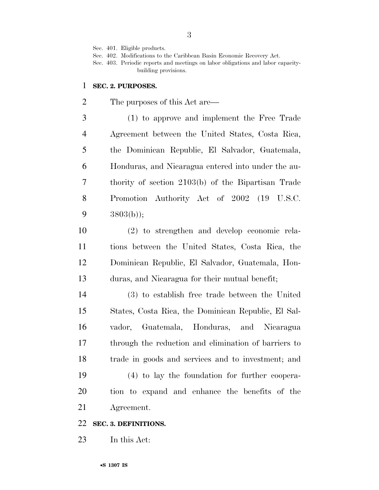Sec. 401. Eligible products.

Sec. 402. Modifications to the Caribbean Basin Economic Recovery Act.

Sec. 403. Periodic reports and meetings on labor obligations and labor capacitybuilding provisions.

## **SEC. 2. PURPOSES.**

The purposes of this Act are—

 (1) to approve and implement the Free Trade Agreement between the United States, Costa Rica, the Dominican Republic, El Salvador, Guatemala, Honduras, and Nicaragua entered into under the au- thority of section 2103(b) of the Bipartisan Trade Promotion Authority Act of 2002 (19 U.S.C. 3803(b));

 (2) to strengthen and develop economic rela- tions between the United States, Costa Rica, the Dominican Republic, El Salvador, Guatemala, Hon-duras, and Nicaragua for their mutual benefit;

 (3) to establish free trade between the United States, Costa Rica, the Dominican Republic, El Sal- vador, Guatemala, Honduras, and Nicaragua through the reduction and elimination of barriers to trade in goods and services and to investment; and (4) to lay the foundation for further coopera-

 tion to expand and enhance the benefits of the Agreement.

# **SEC. 3. DEFINITIONS.**

In this Act: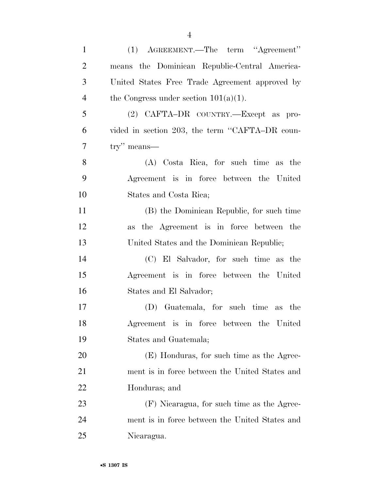| $\mathbf{1}$   | (1) AGREEMENT.—The term "Agreement"            |
|----------------|------------------------------------------------|
| $\overline{2}$ | means the Dominican Republic-Central America-  |
| 3              | United States Free Trade Agreement approved by |
| $\overline{4}$ | the Congress under section $101(a)(1)$ .       |
| 5              | (2) CAFTA-DR COUNTRY.—Except as pro-           |
| 6              | vided in section 203, the term "CAFTA-DR coun- |
| 7              | $\text{try}$ " means—                          |
| 8              | (A) Costa Rica, for such time as the           |
| 9              | Agreement is in force between the United       |
| 10             | States and Costa Rica;                         |
| 11             | (B) the Dominican Republic, for such time      |
| 12             | as the Agreement is in force between the       |
| 13             | United States and the Dominican Republic;      |
| 14             | (C) El Salvador, for such time as the          |
| 15             | Agreement is in force between the United       |
| 16             | States and El Salvador;                        |
| 17             | (D) Guatemala, for such time as the            |
| 18             | Agreement is in force between the United       |
| 19             | States and Guatemala;                          |
| 20             | (E) Honduras, for such time as the Agree-      |
| 21             | ment is in force between the United States and |
| 22             | Honduras; and                                  |
| 23             | (F) Nicaragua, for such time as the Agree-     |
| 24             | ment is in force between the United States and |
| 25             | Nicaragua.                                     |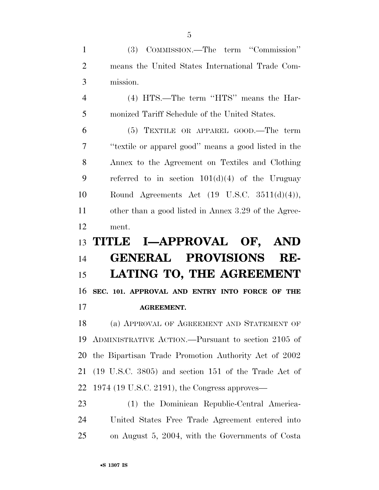(3) COMMISSION.—The term ''Commission'' means the United States International Trade Com-mission.

 (4) HTS.—The term ''HTS'' means the Har-monized Tariff Schedule of the United States.

 (5) TEXTILE OR APPAREL GOOD.—The term ''textile or apparel good'' means a good listed in the Annex to the Agreement on Textiles and Clothing referred to in section 101(d)(4) of the Uruguay Round Agreements Act (19 U.S.C. 3511(d)(4)), other than a good listed in Annex 3.29 of the Agree-ment.

# **TITLE I—APPROVAL OF, AND GENERAL PROVISIONS RE- LATING TO, THE AGREEMENT SEC. 101. APPROVAL AND ENTRY INTO FORCE OF THE AGREEMENT.**

 (a) APPROVAL OF AGREEMENT AND STATEMENT OF ADMINISTRATIVE ACTION.—Pursuant to section 2105 of the Bipartisan Trade Promotion Authority Act of 2002 (19 U.S.C. 3805) and section 151 of the Trade Act of 1974 (19 U.S.C. 2191), the Congress approves—

 (1) the Dominican Republic-Central America- United States Free Trade Agreement entered into on August 5, 2004, with the Governments of Costa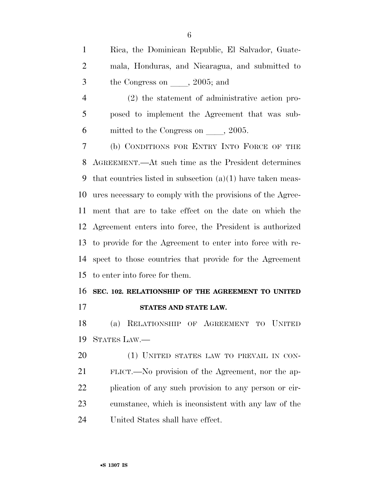Rica, the Dominican Republic, El Salvador, Guate- mala, Honduras, and Nicaragua, and submitted to 3 the Congress on  $\qquad$ , 2005; and

 (2) the statement of administrative action pro- posed to implement the Agreement that was sub-6 mitted to the Congress on  $\qquad$ , 2005.

 (b) CONDITIONS FOR ENTRY INTO FORCE OF THE AGREEMENT.—At such time as the President determines that countries listed in subsection (a)(1) have taken meas- ures necessary to comply with the provisions of the Agree- ment that are to take effect on the date on which the Agreement enters into force, the President is authorized to provide for the Agreement to enter into force with re- spect to those countries that provide for the Agreement to enter into force for them.

# **SEC. 102. RELATIONSHIP OF THE AGREEMENT TO UNITED STATES AND STATE LAW.**

 (a) RELATIONSHIP OF AGREEMENT TO UNITED STATES LAW.—

20 (1) UNITED STATES LAW TO PREVAIL IN CON- FLICT.—No provision of the Agreement, nor the ap- plication of any such provision to any person or cir- cumstance, which is inconsistent with any law of the United States shall have effect.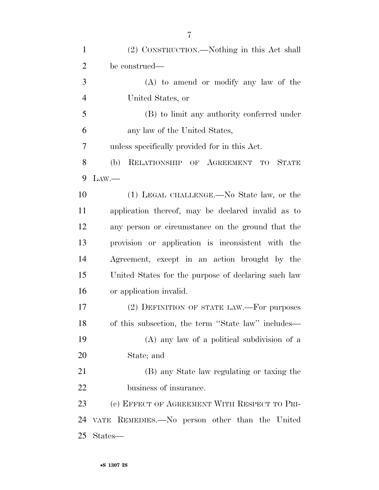| $\mathbf{1}$   | (2) CONSTRUCTION.—Nothing in this Act shall         |
|----------------|-----------------------------------------------------|
| $\overline{2}$ | be construed—                                       |
| 3              | $(A)$ to amend or modify any law of the             |
| $\overline{4}$ | United States, or                                   |
| 5              | (B) to limit any authority conferred under          |
| 6              | any law of the United States,                       |
| 7              | unless specifically provided for in this Act.       |
| 8              | RELATIONSHIP OF AGREEMENT TO STATE<br>(b)           |
| 9              | Law.                                                |
| 10             | (1) LEGAL CHALLENGE.—No State law, or the           |
| 11             | application thereof, may be declared invalid as to  |
| 12             | any person or circumstance on the ground that the   |
| 13             | provision or application is inconsistent with the   |
| 14             | Agreement, except in an action brought by the       |
| 15             | United States for the purpose of declaring such law |
| 16             | or application invalid.                             |
| 17             | (2) DEFINITION OF STATE LAW.—For purposes           |
| 18             | of this subsection, the term "State law" includes—  |
| 19             | $(A)$ any law of a political subdivision of a       |
| 20             | State; and                                          |
| 21             | (B) any State law regulating or taxing the          |
| 22             | business of insurance.                              |
| 23             | (c) EFFECT OF AGREEMENT WITH RESPECT TO PRI-        |
| 24             | VATE REMEDIES.—No person other than the United      |
| 25             | States—                                             |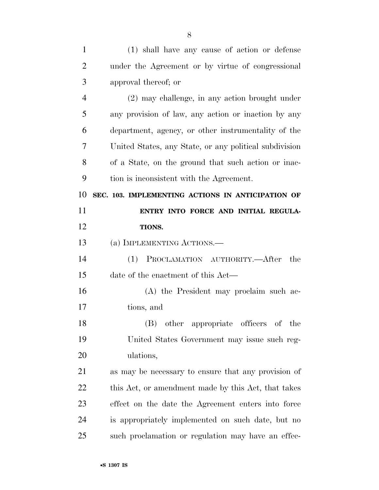| $\mathbf{1}$   | (1) shall have any cause of action or defense          |
|----------------|--------------------------------------------------------|
| $\overline{2}$ | under the Agreement or by virtue of congressional      |
| 3              | approval thereof; or                                   |
| $\overline{4}$ | (2) may challenge, in any action brought under         |
| 5              | any provision of law, any action or inaction by any    |
| 6              | department, agency, or other instrumentality of the    |
| 7              | United States, any State, or any political subdivision |
| 8              | of a State, on the ground that such action or inac-    |
| 9              | tion is inconsistent with the Agreement.               |
| 10             | SEC. 103. IMPLEMENTING ACTIONS IN ANTICIPATION OF      |
| 11             | ENTRY INTO FORCE AND INITIAL REGULA-                   |
| 12             | TIONS.                                                 |
| 13             | (a) IMPLEMENTING ACTIONS.—                             |
| 14             | PROCLAMATION AUTHORITY.—After<br>(1)<br>the            |
| 15             | date of the enactment of this Act—                     |
| 16             | (A) the President may proclaim such ac-                |
| 17             | tions, and                                             |
| 18             | (B)<br>other appropriate officers of the               |
| 19             | United States Government may issue such reg-           |
| 20             | ulations,                                              |
| 21             | as may be necessary to ensure that any provision of    |
| 22             | this Act, or amendment made by this Act, that takes    |
| 23             | effect on the date the Agreement enters into force     |
| 24             | is appropriately implemented on such date, but no      |
| 25             | such proclamation or regulation may have an effec-     |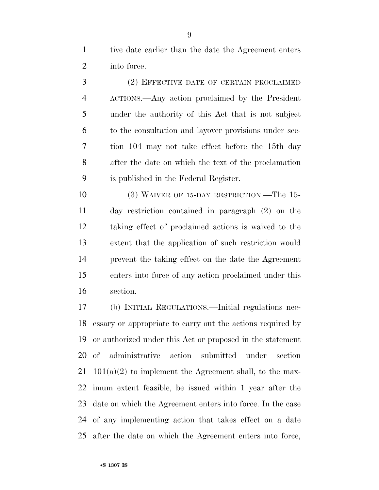tive date earlier than the date the Agreement enters into force.

 (2) EFFECTIVE DATE OF CERTAIN PROCLAIMED ACTIONS.—Any action proclaimed by the President under the authority of this Act that is not subject to the consultation and layover provisions under sec- tion 104 may not take effect before the 15th day after the date on which the text of the proclamation is published in the Federal Register.

 (3) WAIVER OF 15-DAY RESTRICTION.—The 15- day restriction contained in paragraph (2) on the taking effect of proclaimed actions is waived to the extent that the application of such restriction would prevent the taking effect on the date the Agreement enters into force of any action proclaimed under this section.

 (b) INITIAL REGULATIONS.—Initial regulations nec- essary or appropriate to carry out the actions required by or authorized under this Act or proposed in the statement of administrative action submitted under section 21 101(a)(2) to implement the Agreement shall, to the max- imum extent feasible, be issued within 1 year after the date on which the Agreement enters into force. In the case of any implementing action that takes effect on a date after the date on which the Agreement enters into force,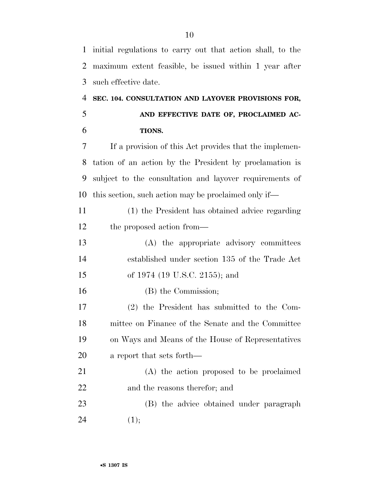initial regulations to carry out that action shall, to the maximum extent feasible, be issued within 1 year after such effective date.

# **SEC. 104. CONSULTATION AND LAYOVER PROVISIONS FOR, AND EFFECTIVE DATE OF, PROCLAIMED AC-TIONS.**

 If a provision of this Act provides that the implemen- tation of an action by the President by proclamation is subject to the consultation and layover requirements of this section, such action may be proclaimed only if—

 (1) the President has obtained advice regarding the proposed action from—

 (A) the appropriate advisory committees established under section 135 of the Trade Act of 1974 (19 U.S.C. 2155); and

(B) the Commission;

 (2) the President has submitted to the Com- mittee on Finance of the Senate and the Committee on Ways and Means of the House of Representatives a report that sets forth—

 (A) the action proposed to be proclaimed and the reasons therefor; and

 (B) the advice obtained under paragraph 24 (1);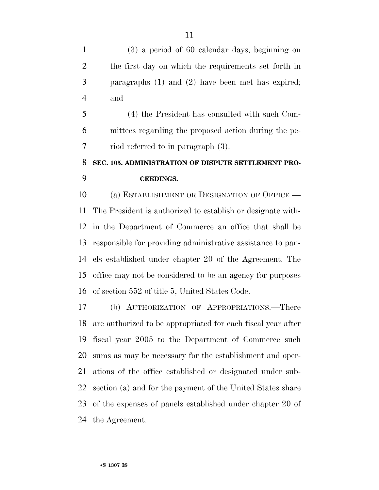(3) a period of 60 calendar days, beginning on the first day on which the requirements set forth in paragraphs (1) and (2) have been met has expired; and

 (4) the President has consulted with such Com- mittees regarding the proposed action during the pe-riod referred to in paragraph (3).

# **SEC. 105. ADMINISTRATION OF DISPUTE SETTLEMENT PRO-CEEDINGS.**

 (a) ESTABLISHMENT OR DESIGNATION OF OFFICE.— The President is authorized to establish or designate with- in the Department of Commerce an office that shall be responsible for providing administrative assistance to pan- els established under chapter 20 of the Agreement. The office may not be considered to be an agency for purposes of section 552 of title 5, United States Code.

 (b) AUTHORIZATION OF APPROPRIATIONS.—There are authorized to be appropriated for each fiscal year after fiscal year 2005 to the Department of Commerce such sums as may be necessary for the establishment and oper- ations of the office established or designated under sub- section (a) and for the payment of the United States share of the expenses of panels established under chapter 20 of the Agreement.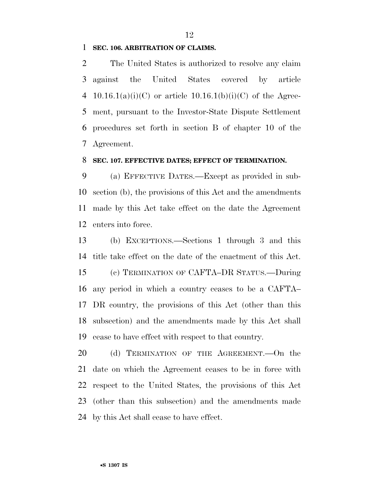## **SEC. 106. ARBITRATION OF CLAIMS.**

 The United States is authorized to resolve any claim against the United States covered by article 4 10.16.1(a)(i)(C) or article  $10.16.1(b)(i)(C)$  of the Agree- ment, pursuant to the Investor-State Dispute Settlement procedures set forth in section B of chapter 10 of the Agreement.

### **SEC. 107. EFFECTIVE DATES; EFFECT OF TERMINATION.**

 (a) EFFECTIVE DATES.—Except as provided in sub- section (b), the provisions of this Act and the amendments made by this Act take effect on the date the Agreement enters into force.

 (b) EXCEPTIONS.—Sections 1 through 3 and this title take effect on the date of the enactment of this Act. (c) TERMINATION OF CAFTA–DR STATUS.—During any period in which a country ceases to be a CAFTA– DR country, the provisions of this Act (other than this subsection) and the amendments made by this Act shall cease to have effect with respect to that country.

20 (d) TERMINATION OF THE AGREEMENT. On the date on which the Agreement ceases to be in force with respect to the United States, the provisions of this Act (other than this subsection) and the amendments made by this Act shall cease to have effect.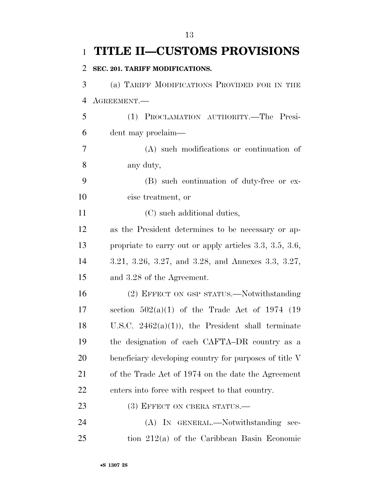|                | 1 TITLE II-CUSTOMS PROVISIONS                             |
|----------------|-----------------------------------------------------------|
| $\overline{2}$ | SEC. 201. TARIFF MODIFICATIONS.                           |
| 3              | (a) TARIFF MODIFICATIONS PROVIDED FOR IN THE              |
| $\overline{4}$ | AGREEMENT.                                                |
| 5              | (1) PROCLAMATION AUTHORITY.-The Presi-                    |
| 6              | dent may proclaim—                                        |
| 7              | (A) such modifications or continuation of                 |
| 8              | any duty,                                                 |
| 9              | (B) such continuation of duty-free or ex-                 |
| 10             | cise treatment, or                                        |
| 11             | (C) such additional duties,                               |
| 12             | as the President determines to be necessary or ap-        |
| 13             | propriate to carry out or apply articles $3.3, 3.5, 3.6,$ |
| 14             | 3.21, 3.26, 3.27, and 3.28, and Annexes 3.3, 3.27,        |
| 15             | and 3.28 of the Agreement.                                |
| 16             | (2) EFFECT ON GSP STATUS.—Notwithstanding                 |
| 17             | section $502(a)(1)$ of the Trade Act of 1974 (19          |
| 18             | U.S.C. $2462(a)(1)$ , the President shall terminate       |
| 19             | the designation of each CAFTA-DR country as a             |
| 20             | beneficiary developing country for purposes of title V    |
| 21             | of the Trade Act of 1974 on the date the Agreement        |
| 22             | enters into force with respect to that country.           |
| 23             | (3) EFFECT ON CBERA STATUS.—                              |
| 24             | (A) IN GENERAL.—Notwithstanding sec-                      |
| 25             | tion 212(a) of the Caribbean Basin Economic               |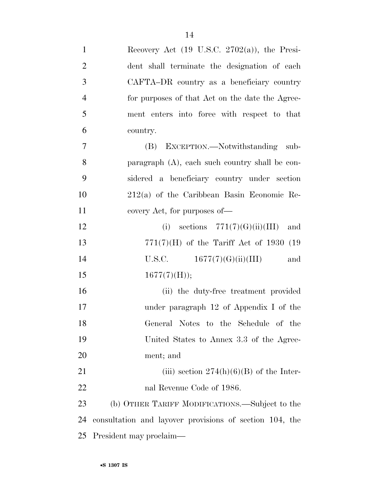| $\mathbf{1}$   | Recovery Act $(19 \text{ U.S.C. } 2702(a))$ , the Presi- |
|----------------|----------------------------------------------------------|
| $\overline{2}$ | dent shall terminate the designation of each             |
| 3              | CAFTA-DR country as a beneficiary country                |
| $\overline{4}$ | for purposes of that Act on the date the Agree-          |
| 5              | ment enters into force with respect to that              |
| 6              | country.                                                 |
| $\overline{7}$ | (B) EXCEPTION.—Notwithstanding sub-                      |
| 8              | paragraph (A), each such country shall be con-           |
| 9              | sidered a beneficiary country under section              |
| 10             | $212(a)$ of the Caribbean Basin Economic Re-             |
| 11             | covery Act, for purposes of—                             |
| 12             | (i) sections $771(7)(G)(ii)(III)$<br>and                 |
| 13             | $771(7)$ (H) of the Tariff Act of 1930 (19               |
| 14             | U.S.C. $1677(7)(G)(ii)(III)$<br>and                      |
| 15             | $1677(7)$ (H));                                          |
| 16             | (ii) the duty-free treatment provided                    |
| 17             | under paragraph $12$ of Appendix I of the                |
| 18             | General Notes to the Schedule of the                     |
| 19             | United States to Annex 3.3 of the Agree-                 |
| 20             | ment; and                                                |
| 21             | (iii) section $274(h)(6)(B)$ of the Inter-               |
| 22             | nal Revenue Code of 1986.                                |
| 23             | (b) OTHER TARIFF MODIFICATIONS.—Subject to the           |
| 24             | consultation and layover provisions of section 104, the  |
| 25             | President may proclaim—                                  |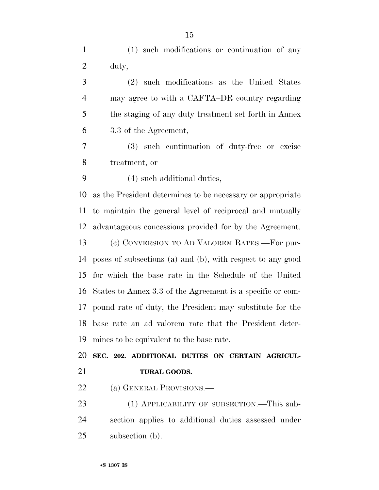| $\mathbf{1}$   | (1) such modifications or continuation of any                       |
|----------------|---------------------------------------------------------------------|
| $\overline{2}$ | duty,                                                               |
| 3              | (2) such modifications as the United States                         |
| $\overline{4}$ | may agree to with a CAFTA-DR country regarding                      |
| 5              | the staging of any duty treatment set forth in Annex                |
| 6              | 3.3 of the Agreement,                                               |
| $\overline{7}$ | (3) such continuation of duty-free or excise                        |
| 8              | treatment, or                                                       |
| 9              | (4) such additional duties,                                         |
| 10             | as the President determines to be necessary or appropriate          |
|                | 11 to maintain the general level of reciprocal and mutually         |
|                | 12 advantageous concessions provided for by the Agreement.          |
| 13             | (c) CONVERSION TO AD VALOREM RATES.-For pur-                        |
|                | 14 poses of subsections (a) and (b), with respect to any good       |
|                | $15.6$ and $11.1$ and $1.6$ and $1.7$ and $1.7$ and $1.7$ and $1.7$ |

 for which the base rate in the Schedule of the United States to Annex 3.3 of the Agreement is a specific or com- pound rate of duty, the President may substitute for the base rate an ad valorem rate that the President deter-mines to be equivalent to the base rate.

 **SEC. 202. ADDITIONAL DUTIES ON CERTAIN AGRICUL-TURAL GOODS.** 

22 (a) GENERAL PROVISIONS.—

23 (1) APPLICABILITY OF SUBSECTION.—This sub- section applies to additional duties assessed under subsection (b).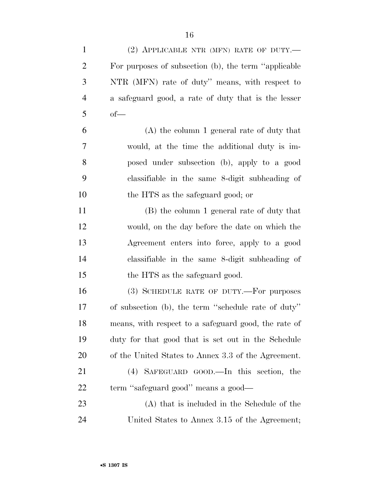| $\mathbf{1}$   | (2) APPLICABLE NTR (MFN) RATE OF DUTY.—               |
|----------------|-------------------------------------------------------|
| $\overline{2}$ | For purposes of subsection (b), the term "applicable" |
| 3              | NTR (MFN) rate of duty" means, with respect to        |
| $\overline{4}$ | a safeguard good, a rate of duty that is the lesser   |
| 5              | $of$ —                                                |
| 6              | $(A)$ the column 1 general rate of duty that          |
| 7              | would, at the time the additional duty is im-         |
| 8              | posed under subsection (b), apply to a good           |
| 9              | classifiable in the same 8-digit subheading of        |
| 10             | the HTS as the safeguard good; or                     |
| 11             | (B) the column 1 general rate of duty that            |
| 12             | would, on the day before the date on which the        |
| 13             | Agreement enters into force, apply to a good          |
| 14             | classifiable in the same 8-digit subheading of        |
| 15             | the HTS as the safeguard good.                        |
| 16             | (3) SCHEDULE RATE OF DUTY.—For purposes               |
| 17             | of subsection (b), the term "schedule rate of duty"   |
| 18             | means, with respect to a safeguard good, the rate of  |
| 19             | duty for that good that is set out in the Schedule    |
| 20             | of the United States to Annex 3.3 of the Agreement.   |
| 21             | (4) SAFEGUARD GOOD.—In this section, the              |
| 22             | term "safeguard good" means a good—                   |
| 23             | (A) that is included in the Schedule of the           |
| 24             | United States to Annex 3.15 of the Agreement;         |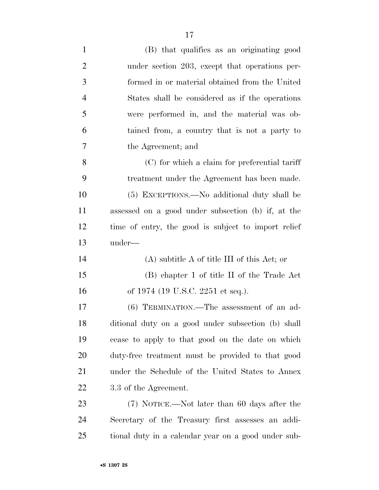| $\mathbf{1}$   | (B) that qualifies as an originating good           |
|----------------|-----------------------------------------------------|
| $\overline{2}$ | under section 203, except that operations per-      |
| 3              | formed in or material obtained from the United      |
| $\overline{4}$ | States shall be considered as if the operations     |
| 5              | were performed in, and the material was ob-         |
| 6              | tained from, a country that is not a party to       |
| 7              | the Agreement; and                                  |
| 8              | (C) for which a claim for preferential tariff       |
| 9              | treatment under the Agreement has been made.        |
| 10             | (5) EXCEPTIONS.—No additional duty shall be         |
| 11             | assessed on a good under subsection (b) if, at the  |
| 12             | time of entry, the good is subject to import relief |
| 13             | under—                                              |
| 14             | $(A)$ subtitle A of title III of this Act; or       |
| 15             | (B) chapter 1 of title II of the Trade Act          |
| 16             | of 1974 (19 U.S.C. 2251 et seq.).                   |
| 17             | $(6)$ TERMINATION.—The assessment of an ad-         |
| 18             |                                                     |
|                | ditional duty on a good under subsection (b) shall  |
| 19             | cease to apply to that good on the date on which    |
| <b>20</b>      | duty-free treatment must be provided to that good   |
| 21             | under the Schedule of the United States to Annex    |
| 22             | 3.3 of the Agreement.                               |
| 23             | (7) NOTICE.—Not later than 60 days after the        |
| 24             | Secretary of the Treasury first assesses an addi-   |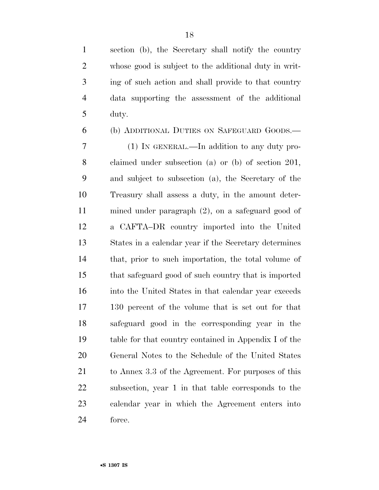section (b), the Secretary shall notify the country whose good is subject to the additional duty in writ- ing of such action and shall provide to that country data supporting the assessment of the additional duty.

 (b) ADDITIONAL DUTIES ON SAFEGUARD GOODS.— (1) IN GENERAL.—In addition to any duty pro-

 claimed under subsection (a) or (b) of section 201, and subject to subsection (a), the Secretary of the Treasury shall assess a duty, in the amount deter- mined under paragraph (2), on a safeguard good of a CAFTA–DR country imported into the United States in a calendar year if the Secretary determines that, prior to such importation, the total volume of that safeguard good of such country that is imported into the United States in that calendar year exceeds 130 percent of the volume that is set out for that safeguard good in the corresponding year in the table for that country contained in Appendix I of the General Notes to the Schedule of the United States to Annex 3.3 of the Agreement. For purposes of this subsection, year 1 in that table corresponds to the calendar year in which the Agreement enters into force.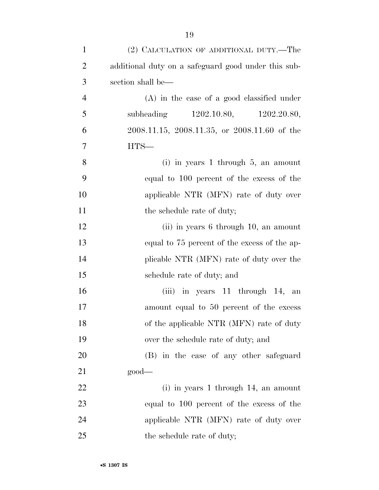| $\mathbf{1}$   | (2) CALCULATION OF ADDITIONAL DUTY.—The             |
|----------------|-----------------------------------------------------|
| $\overline{2}$ | additional duty on a safeguard good under this sub- |
| 3              | section shall be—                                   |
| $\overline{4}$ | $(A)$ in the case of a good classified under        |
| 5              | subheading 1202.10.80, 1202.20.80,                  |
| 6              | 2008.11.15, 2008.11.35, or 2008.11.60 of the        |
| $\overline{7}$ | $HTS-$                                              |
| 8              | $(i)$ in years 1 through 5, an amount               |
| 9              | equal to 100 percent of the excess of the           |
| 10             | applicable NTR (MFN) rate of duty over              |
| 11             | the schedule rate of duty;                          |
| 12             | (ii) in years 6 through 10, an amount               |
| 13             | equal to 75 percent of the excess of the ap-        |
| 14             | plicable NTR (MFN) rate of duty over the            |
| 15             | schedule rate of duty; and                          |
| 16             | (iii) in years 11 through 14, an                    |
| 17             | amount equal to 50 percent of the excess            |
| 18             | of the applicable NTR (MFN) rate of duty            |
| 19             | over the schedule rate of duty; and                 |
| 20             | (B) in the case of any other safeguard              |
| 21             | $\text{good}$ —                                     |
| 22             | $(i)$ in years 1 through 14, an amount              |
| 23             | equal to 100 percent of the excess of the           |
| 24             | applicable NTR (MFN) rate of duty over              |
| 25             | the schedule rate of duty;                          |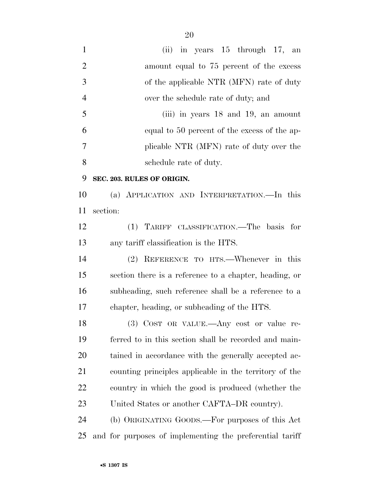(ii) in years 15 through 17, an 2 amount equal to 75 percent of the excess of the applicable NTR (MFN) rate of duty over the schedule rate of duty; and (iii) in years 18 and 19, an amount equal to 50 percent of the excess of the ap- plicable NTR (MFN) rate of duty over the schedule rate of duty. **SEC. 203. RULES OF ORIGIN.**  (a) APPLICATION AND INTERPRETATION.—In this section: (1) TARIFF CLASSIFICATION.—The basis for any tariff classification is the HTS. (2) REFERENCE TO HTS.—Whenever in this

 section there is a reference to a chapter, heading, or subheading, such reference shall be a reference to a chapter, heading, or subheading of the HTS.

 (3) COST OR VALUE.—Any cost or value re- ferred to in this section shall be recorded and main- tained in accordance with the generally accepted ac- counting principles applicable in the territory of the country in which the good is produced (whether the United States or another CAFTA–DR country).

 (b) ORIGINATING GOODS.—For purposes of this Act and for purposes of implementing the preferential tariff

•**S 1307 IS**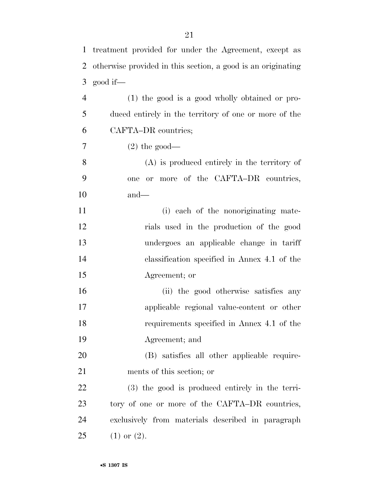treatment provided for under the Agreement, except as

| 2              | otherwise provided in this section, a good is an originating |
|----------------|--------------------------------------------------------------|
| 3              | good if—                                                     |
| $\overline{4}$ | (1) the good is a good wholly obtained or pro-               |
| 5              | duced entirely in the territory of one or more of the        |
| 6              | CAFTA-DR countries;                                          |
| 7              | $(2)$ the good—                                              |
| 8              | $(A)$ is produced entirely in the territory of               |
| 9              | or more of the CAFTA-DR countries,<br>one                    |
| 10             | $and$ —                                                      |
| 11             | (i) each of the nonoriginating mate-                         |
| 12             | rials used in the production of the good                     |
| 13             | undergoes an applicable change in tariff                     |
| 14             | classification specified in Annex 4.1 of the                 |
| 15             | Agreement; or                                                |
| 16             | (ii) the good otherwise satisfies any                        |
| 17             | applicable regional value-content or other                   |
| 18             | requirements specified in Annex 4.1 of the                   |
| 19             | Agreement; and                                               |
| 20             | (B) satisfies all other applicable require-                  |
| 21             | ments of this section; or                                    |
| 22             | (3) the good is produced entirely in the terri-              |
| 23             | tory of one or more of the CAFTA-DR countries,               |
| 24             | exclusively from materials described in paragraph            |
| 25             | $(1)$ or $(2)$ .                                             |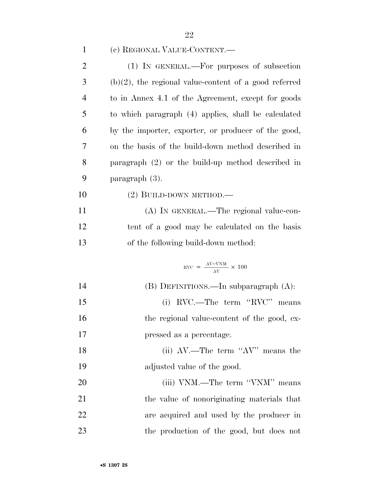| $\mathbf{1}$   | (c) REGIONAL VALUE-CONTENT.—                             |
|----------------|----------------------------------------------------------|
| $\overline{2}$ | (1) IN GENERAL.—For purposes of subsection               |
| 3              | $(b)(2)$ , the regional value-content of a good referred |
| $\overline{4}$ | to in Annex 4.1 of the Agreement, except for goods       |
| 5              | to which paragraph (4) applies, shall be calculated      |
| 6              | by the importer, exporter, or producer of the good,      |
| 7              | on the basis of the build-down method described in       |
| 8              | paragraph $(2)$ or the build-up method described in      |
| 9              | paragraph (3).                                           |
| 10             | $(2)$ BUILD-DOWN METHOD.—                                |
| 11             | (A) IN GENERAL.—The regional value-con-                  |
| 12             | tent of a good may be calculated on the basis            |
| 13             | of the following build-down method:                      |
|                | $NVC = \frac{AV-VNM}{AV} \times 100$                     |
| 14             | $(B)$ DEFINITIONS.—In subparagraph $(A)$ :               |
| 15             | RVC.—The term "RVC" means<br>(i)                         |
| 16             | the regional value-content of the good, ex-              |
| 17             | pressed as a percentage.                                 |
| 18             | (ii) $AV$ .—The term " $AV$ " means the                  |
| 19             | adjusted value of the good.                              |
| 20             | (iii) VNM.—The term "VNM" means                          |
| 21             | the value of nonoriginating materials that               |
| 22             | are acquired and used by the producer in                 |
| 23             | the production of the good, but does not                 |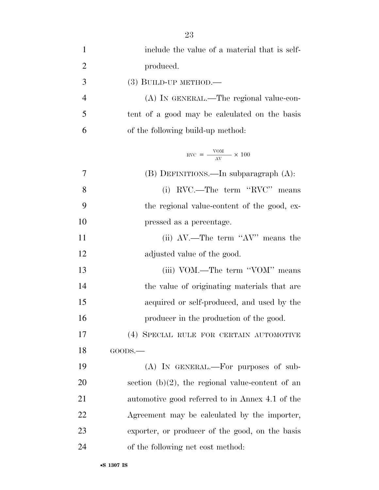| $\mathbf{1}$   | include the value of a material that is self-          |
|----------------|--------------------------------------------------------|
| $\overline{2}$ | produced.                                              |
| 3              | $(3)$ BUILD-UP METHOD.—                                |
| $\overline{4}$ | (A) IN GENERAL.—The regional value-con-                |
| 5              | tent of a good may be calculated on the basis          |
| 6              | of the following build-up method:                      |
|                | $\text{RVC} = \frac{\text{VOM}}{\text{AV}} \times 100$ |
| 7              | (B) DEFINITIONS.—In subparagraph (A):                  |
| 8              | (i) RVC.—The term "RVC" means                          |
| 9              | the regional value-content of the good, ex-            |
| 10             | pressed as a percentage.                               |
| 11             | (ii) AV.—The term "AV" means the                       |
| 12             | adjusted value of the good.                            |
| 13             | (iii) VOM.—The term "VOM" means                        |
| 14             | the value of originating materials that are            |
| 15             | acquired or self-produced, and used by the             |
| 16             | producer in the production of the good.                |
| 17             | (4) SPECIAL RULE FOR CERTAIN AUTOMOTIVE                |
| 18             | GOODS.                                                 |
| 19             | (A) IN GENERAL.—For purposes of sub-                   |
| 20             | section $(b)(2)$ , the regional value-content of an    |
| 21             | automotive good referred to in Annex 4.1 of the        |
| 22             | Agreement may be calculated by the importer,           |
| 23             | exporter, or producer of the good, on the basis        |
| 24             | of the following net cost method:                      |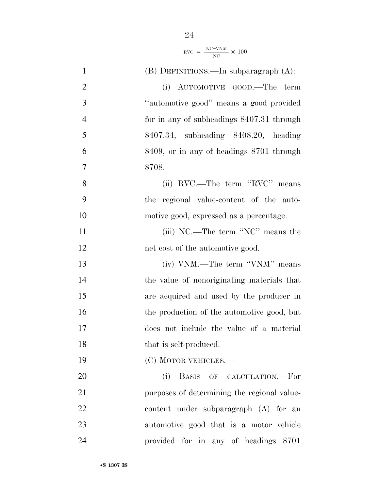$$
RVC = \frac{NC-VNM}{NC} \times 100
$$

| $\mathbf{1}$   | $(B)$ DEFINITIONS.—In subparagraph $(A)$ :  |
|----------------|---------------------------------------------|
| $\overline{2}$ | (i) AUTOMOTIVE GOOD.—The term               |
| 3              | "automotive good" means a good provided     |
| $\overline{4}$ | for in any of subheadings 8407.31 through   |
| 5              | 8407.34, subheading 8408.20, heading        |
| 6              | 8409, or in any of headings 8701 through    |
| $\overline{7}$ | 8708.                                       |
| 8              | (ii) RVC.—The term "RVC" means              |
| 9              | the regional value-content of the auto-     |
| 10             | motive good, expressed as a percentage.     |
| 11             | (iii) NC.—The term "NC" means the           |
| 12             | net cost of the automotive good.            |
| 13             | (iv) VNM.—The term "VNM" means              |
| 14             | the value of nonoriginating materials that  |
| 15             | are acquired and used by the producer in    |
| 16             | the production of the automotive good, but  |
| 17             | does not include the value of a material    |
| 18             | that is self-produced.                      |
| 19             | (C) MOTOR VEHICLES.—                        |
| <b>20</b>      | BASIS OF CALCULATION.-For<br>(i)            |
| 21             | purposes of determining the regional value- |
| 22             | content under subparagraph (A) for an       |
| 23             | automotive good that is a motor vehicle     |
| 24             | provided for in any of headings 8701        |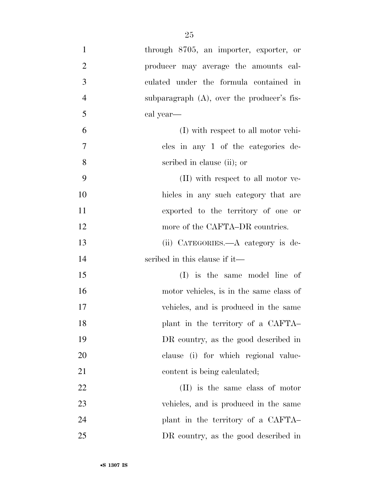| $\mathbf{1}$   | through 8705, an importer, exporter, or       |
|----------------|-----------------------------------------------|
| $\overline{2}$ | producer may average the amounts cal-         |
| 3              | culated under the formula contained in        |
| $\overline{4}$ | subparagraph $(A)$ , over the producer's fis- |
| 5              | cal year—                                     |
| 6              | (I) with respect to all motor vehi-           |
| $\overline{7}$ | cles in any 1 of the categories de-           |
| 8              | scribed in clause (ii); or                    |
| 9              | (II) with respect to all motor ve-            |
| 10             | hicles in any such category that are          |
| 11             | exported to the territory of one or           |
| 12             | more of the CAFTA–DR countries.               |
| 13             | (ii) CATEGORIES.—A category is de-            |
| 14             | scribed in this clause if it—                 |
| 15             | (I) is the same model line of                 |
| 16             | motor vehicles, is in the same class of       |
| 17             | vehicles, and is produced in the same         |
| 18             | plant in the territory of a CAFTA-            |
| 19             | DR country, as the good described in          |
| 20             | clause (i) for which regional value-          |
| 21             | content is being calculated;                  |
| 22             | (II) is the same class of motor               |
| 23             | vehicles, and is produced in the same         |
| 24             | plant in the territory of a CAFTA-            |
| 25             | DR country, as the good described in          |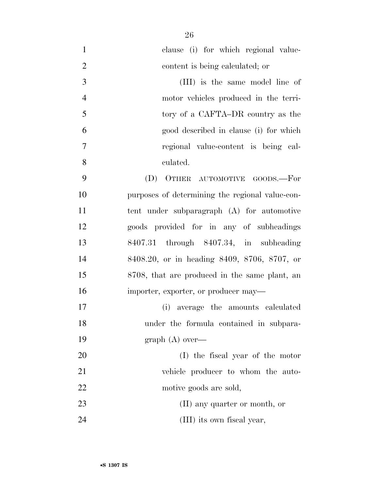| $\mathbf{1}$   | clause (i) for which regional value-            |
|----------------|-------------------------------------------------|
| $\overline{2}$ | content is being calculated; or                 |
| 3              | (III) is the same model line of                 |
| $\overline{4}$ | motor vehicles produced in the terri-           |
| 5              | tory of a CAFTA–DR country as the               |
| 6              | good described in clause (i) for which          |
| $\tau$         | regional value-content is being cal-            |
| 8              | culated.                                        |
| 9              | (D) OTHER AUTOMOTIVE GOODS.—For                 |
| 10             | purposes of determining the regional value-con- |
| 11             | tent under subparagraph (A) for automotive      |
| 12             | goods provided for in any of subheadings        |
| 13             | 8407.31 through 8407.34, in subheading          |
| 14             | 8408.20, or in heading 8409, 8706, 8707, or     |
| 15             | 8708, that are produced in the same plant, an   |
| 16             | importer, exporter, or producer may—            |
| 17             | (i) average the amounts calculated              |
| 18             | under the formula contained in subpara-         |
| 19             | graph $(A)$ over—                               |
| 20             | (I) the fiscal year of the motor                |
| 21             | vehicle producer to whom the auto-              |
| 22             | motive goods are sold,                          |
| 23             | $(II)$ any quarter or month, or                 |
| 24             | (III) its own fiscal year,                      |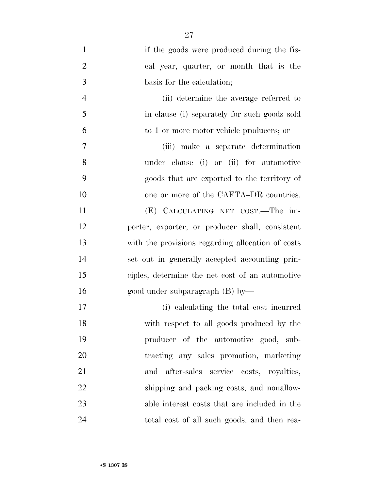| $\mathbf{1}$   | if the goods were produced during the fis-        |
|----------------|---------------------------------------------------|
| $\overline{2}$ | cal year, quarter, or month that is the           |
| 3              | basis for the calculation;                        |
| $\overline{4}$ | (ii) determine the average referred to            |
| 5              | in clause (i) separately for such goods sold      |
| 6              | to 1 or more motor vehicle producers; or          |
| $\tau$         | (iii) make a separate determination               |
| 8              | under clause (i) or (ii) for automotive           |
| 9              | goods that are exported to the territory of       |
| 10             | one or more of the CAFTA–DR countries.            |
| 11             | (E) CALCULATING NET COST.—The im-                 |
| 12             | porter, exporter, or producer shall, consistent   |
| 13             | with the provisions regarding allocation of costs |
| 14             | set out in generally accepted accounting prin-    |
| 15             | ciples, determine the net cost of an automotive   |
| 16             | good under subparagraph $(B)$ by—                 |
| 17             | (i) calculating the total cost incurred           |
| 18             | with respect to all goods produced by the         |
| 19             | producer of the automotive good, sub-             |
| 20             | tracting any sales promotion, marketing           |
| 21             | after-sales service costs, royalties,<br>and      |
| 22             | shipping and packing costs, and nonallow-         |
| 23             | able interest costs that are included in the      |
| 24             | total cost of all such goods, and then rea-       |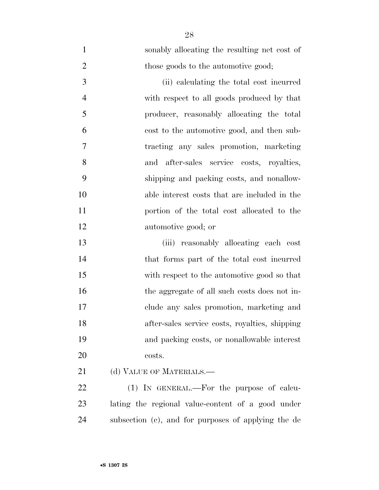| $\mathbf{1}$   | sonably allocating the resulting net cost of      |
|----------------|---------------------------------------------------|
| $\overline{2}$ | those goods to the automotive good;               |
| 3              | (ii) calculating the total cost incurred          |
| $\overline{4}$ | with respect to all goods produced by that        |
| 5              | producer, reasonably allocating the total         |
| 6              | cost to the automotive good, and then sub-        |
| 7              | tracting any sales promotion, marketing           |
| 8              | after-sales service costs, royalties,<br>and      |
| 9              | shipping and packing costs, and nonallow-         |
| 10             | able interest costs that are included in the      |
| 11             | portion of the total cost allocated to the        |
| 12             | automotive good; or                               |
| 13             | (iii) reasonably allocating each cost             |
| 14             | that forms part of the total cost incurred        |
| 15             | with respect to the automotive good so that       |
| 16             | the aggregate of all such costs does not in-      |
| 17             | clude any sales promotion, marketing and          |
| 18             | after-sales service costs, royalties, shipping    |
| 19             | and packing costs, or nonallowable interest       |
| 20             | costs.                                            |
| 21             | (d) VALUE OF MATERIALS.—                          |
| 22             | $(1)$ IN GENERAL.—For the purpose of calcu-       |
| 23             | lating the regional value-content of a good under |

subsection (c), and for purposes of applying the de

•**S 1307 IS**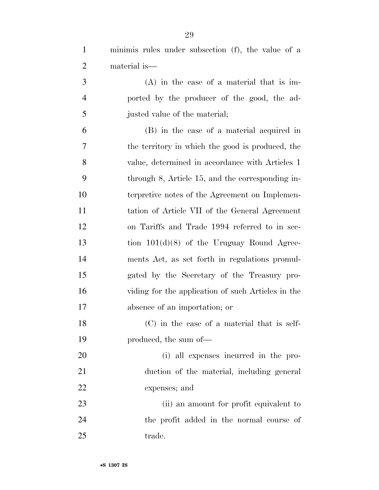minimis rules under subsection (f), the value of a material is—

 (A) in the case of a material that is im- ported by the producer of the good, the ad-justed value of the material;

 (B) in the case of a material acquired in the territory in which the good is produced, the value, determined in accordance with Articles 1 through 8, Article 15, and the corresponding in- terpretive notes of the Agreement on Implemen- tation of Article VII of the General Agreement on Tariffs and Trade 1994 referred to in sec- tion 101(d)(8) of the Uruguay Round Agree- ments Act, as set forth in regulations promul- gated by the Secretary of the Treasury pro- viding for the application of such Articles in the absence of an importation; or

 (C) in the case of a material that is self-produced, the sum of—

 (i) all expenses incurred in the pro- duction of the material, including general expenses; and

23 (ii) an amount for profit equivalent to the profit added in the normal course of 25 trade.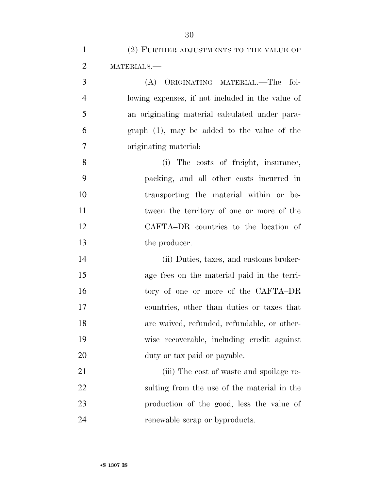| $\mathbf{1}$   | (2) FURTHER ADJUSTMENTS TO THE VALUE OF          |
|----------------|--------------------------------------------------|
| $\overline{2}$ | MATERIALS.-                                      |
| 3              | (A) ORIGINATING MATERIAL.-The fol-               |
| $\overline{4}$ | lowing expenses, if not included in the value of |
| 5              | an originating material calculated under para-   |
| 6              | $graph(1)$ , may be added to the value of the    |
| 7              | originating material:                            |
| 8              | (i) The costs of freight, insurance,             |
| 9              | packing, and all other costs incurred in         |
| 10             | transporting the material within or be-          |
| 11             | tween the territory of one or more of the        |
| 12             | CAFTA-DR countries to the location of            |
| 13             | the producer.                                    |
| 14             | (ii) Duties, taxes, and customs broker-          |
| 15             | age fees on the material paid in the terri-      |
| 16             | tory of one or more of the CAFTA-DR              |
| 17             | countries, other than duties or taxes that       |
| 18             | are waived, refunded, refundable, or other-      |
| 19             | wise recoverable, including credit against       |
| 20             | duty or tax paid or payable.                     |
| 21             | (iii) The cost of waste and spoilage re-         |
| 22             | sulting from the use of the material in the      |
| 23             | production of the good, less the value of        |
| 24             | renewable scrap or byproducts.                   |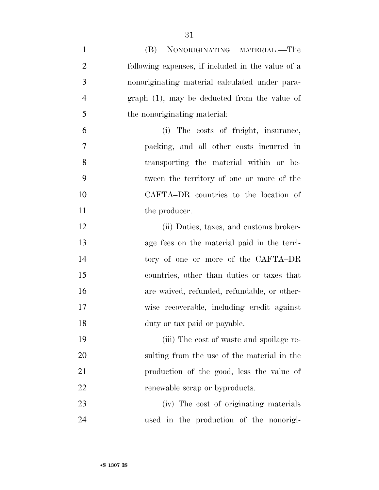| $\mathbf{1}$   | NONORIGINATING MATERIAL.—The<br>(B)               |
|----------------|---------------------------------------------------|
| $\overline{2}$ | following expenses, if included in the value of a |
| 3              | nonoriginating material calculated under para-    |
| $\overline{4}$ | $graph(1)$ , may be deducted from the value of    |
| 5              | the nonoriginating material:                      |
| 6              | (i) The costs of freight, insurance,              |
| $\overline{7}$ | packing, and all other costs incurred in          |
| 8              | transporting the material within or be-           |
| 9              | tween the territory of one or more of the         |
| 10             | CAFTA-DR countries to the location of             |
| 11             | the producer.                                     |
| 12             | (ii) Duties, taxes, and customs broker-           |
| 13             | age fees on the material paid in the terri-       |
| 14             | tory of one or more of the CAFTA-DR               |
| 15             | countries, other than duties or taxes that        |
| 16             | are waived, refunded, refundable, or other-       |
| 17             | wise recoverable, including credit against        |
| 18             | duty or tax paid or payable.                      |
| 19             | (iii) The cost of waste and spoilage re-          |
| 20             | sulting from the use of the material in the       |
| 21             | production of the good, less the value of         |
| 22             | renewable scrap or byproducts.                    |
| 23             | (iv) The cost of originating materials            |
| 24             | used in the production of the nonorigi-           |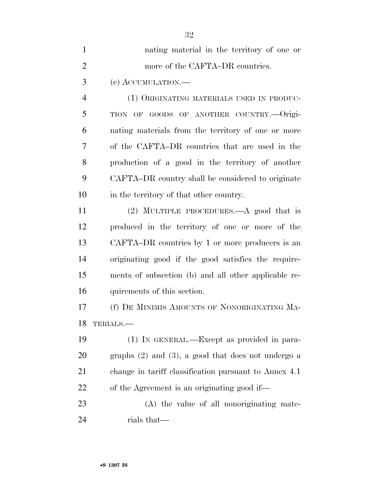| $\mathbf{1}$   | nating material in the territory of one or              |
|----------------|---------------------------------------------------------|
| $\overline{2}$ | more of the CAFTA–DR countries.                         |
| 3              | (e) ACCUMULATION.—                                      |
| $\overline{4}$ | (1) ORIGINATING MATERIALS USED IN PRODUC-               |
| 5              | TION OF GOODS OF ANOTHER COUNTRY.--Origi-               |
| 6              | nating materials from the territory of one or more      |
| 7              | of the CAFTA-DR countries that are used in the          |
| 8              | production of a good in the territory of another        |
| 9              | CAFTA–DR country shall be considered to originate       |
| 10             | in the territory of that other country.                 |
| 11             | (2) MULTIPLE PROCEDURES.—A good that is                 |
| 12             | produced in the territory of one or more of the         |
| 13             | CAFTA–DR countries by 1 or more producers is an         |
| 14             | originating good if the good satisfies the require-     |
| 15             | ments of subsection (b) and all other applicable re-    |
| 16             | quirements of this section.                             |
| 17             | (f) DE MINIMIS AMOUNTS OF NONORIGINATING MA-            |
| 18             | TERIALS.                                                |
| 19             | (1) IN GENERAL.—Except as provided in para-             |
| 20             | graphs $(2)$ and $(3)$ , a good that does not undergo a |
| 21             | change in tariff classification pursuant to Annex 4.1   |
| 22             | of the Agreement is an originating good if—             |
| 23             | (A) the value of all nonoriginating mate-               |
| 24             | rials that—                                             |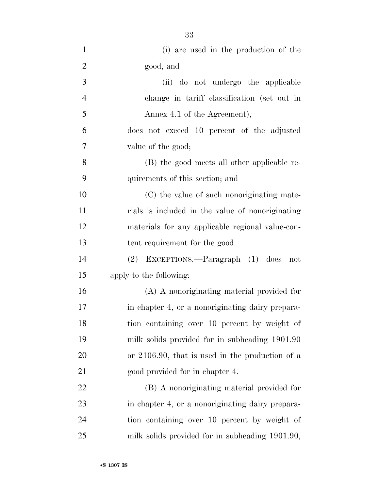| $\mathbf{1}$   | (i) are used in the production of the              |
|----------------|----------------------------------------------------|
| $\overline{2}$ | good, and                                          |
| 3              | (ii) do not undergo the applicable                 |
| $\overline{4}$ | change in tariff classification (set out in        |
| 5              | Annex 4.1 of the Agreement),                       |
| 6              | does not exceed 10 percent of the adjusted         |
| 7              | value of the good;                                 |
| 8              | (B) the good meets all other applicable re-        |
| 9              | quirements of this section; and                    |
| 10             | (C) the value of such nonoriginating mate-         |
| 11             | rials is included in the value of nonoriginating   |
| 12             | materials for any applicable regional value-con-   |
| 13             | tent requirement for the good.                     |
| 14             | (2) EXCEPTIONS.—Paragraph (1) does<br>not          |
| 15             | apply to the following:                            |
| 16             | (A) A nonoriginating material provided for         |
| 17             | in chapter 4, or a nonoriginating dairy prepara-   |
| 18             | tion containing over 10 percent by weight of       |
| 19             | milk solids provided for in subheading 1901.90     |
| 20             | or $2106.90$ , that is used in the production of a |
| 21             | good provided for in chapter 4.                    |
| 22             | (B) A nonoriginating material provided for         |
| 23             | in chapter 4, or a nonoriginating dairy prepara-   |
| 24             | tion containing over 10 percent by weight of       |
| 25             | milk solids provided for in subheading 1901.90,    |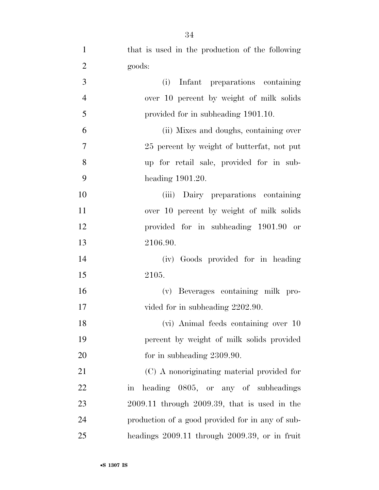| $\mathbf{1}$   | that is used in the production of the following    |
|----------------|----------------------------------------------------|
| $\overline{2}$ | goods:                                             |
| 3              | Infant preparations containing<br>(i)              |
| $\overline{4}$ | over 10 percent by weight of milk solids           |
| 5              | provided for in subheading 1901.10.                |
| 6              | (ii) Mixes and doughs, containing over             |
| 7              | 25 percent by weight of butterfat, not put         |
| 8              | up for retail sale, provided for in sub-           |
| 9              | heading $1901.20$ .                                |
| 10             | (iii) Dairy preparations containing                |
| 11             | over 10 percent by weight of milk solids           |
| 12             | provided for in subheading 1901.90 or              |
| 13             | 2106.90.                                           |
| 14             | (iv) Goods provided for in heading                 |
| 15             | 2105.                                              |
| 16             | (v) Beverages containing milk pro-                 |
| 17             | vided for in subheading 2202.90.                   |
| 18             | (vi) Animal feeds containing over 10               |
| 19             | percent by weight of milk solids provided          |
| 20             | for in subheading $2309.90$ .                      |
| 21             | (C) A nonoriginating material provided for         |
| 22             | heading 0805, or any of subheadings<br>in          |
| 23             | $2009.11$ through $2009.39$ , that is used in the  |
| 24             | production of a good provided for in any of sub-   |
| 25             | headings $2009.11$ through $2009.39$ , or in fruit |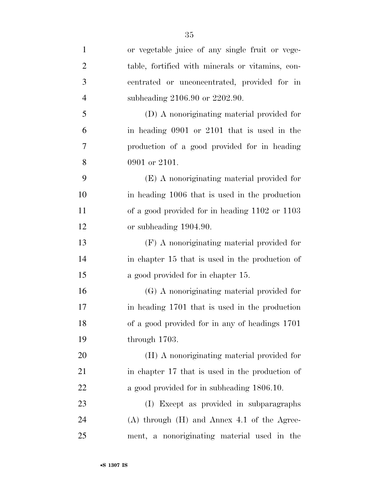| $\mathbf{1}$   | or vegetable juice of any single fruit or vege-  |
|----------------|--------------------------------------------------|
| $\overline{2}$ | table, fortified with minerals or vitamins, con- |
| 3              | centrated or unconcentrated, provided for in     |
| $\overline{4}$ | subheading 2106.90 or 2202.90.                   |
| 5              | (D) A nonoriginating material provided for       |
| 6              | in heading 0901 or 2101 that is used in the      |
| 7              | production of a good provided for in heading     |
| 8              | 0901 or 2101.                                    |
| 9              | (E) A nonoriginating material provided for       |
| 10             | in heading 1006 that is used in the production   |
| 11             | of a good provided for in heading 1102 or 1103   |
| 12             | or subheading 1904.90.                           |
| 13             | (F) A nonoriginating material provided for       |
| 14             | in chapter 15 that is used in the production of  |
| 15             | a good provided for in chapter 15.               |
| 16             | (G) A nonoriginating material provided for       |
| 17             | in heading 1701 that is used in the production   |
| 18             | of a good provided for in any of headings 1701   |
| 19             | through $1703$ .                                 |
| 20             | (H) A nonoriginating material provided for       |
| 21             | in chapter 17 that is used in the production of  |
| 22             | a good provided for in subheading 1806.10.       |
| 23             | (I) Except as provided in subparagraphs          |
| 24             | $(A)$ through $(H)$ and Annex 4.1 of the Agree-  |
| 25             | ment, a nonoriginating material used in the      |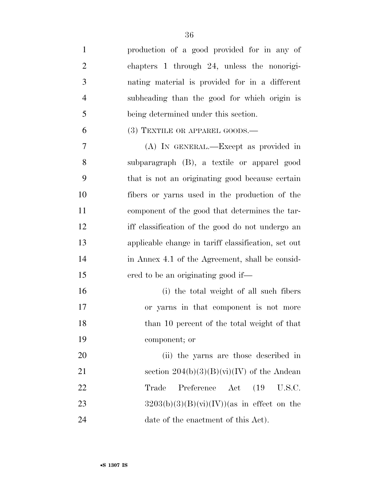| $\mathbf{1}$   | production of a good provided for in any of                   |
|----------------|---------------------------------------------------------------|
| $\overline{2}$ | chapters 1 through 24, unless the nonorigi-                   |
| 3              | nating material is provided for in a different                |
| $\overline{4}$ | subheading than the good for which origin is                  |
| 5              | being determined under this section.                          |
| 6              | $(3)$ TEXTILE OR APPAREL GOODS.—                              |
| 7              | (A) IN GENERAL.—Except as provided in                         |
| 8              | subparagraph (B), a textile or apparel good                   |
| 9              | that is not an originating good because certain               |
| 10             | fibers or yarns used in the production of the                 |
| 11             | component of the good that determines the tar-                |
| 12             | iff classification of the good do not undergo an              |
| 13             | applicable change in tariff classification, set out           |
| 14             | in Annex 4.1 of the Agreement, shall be consid-               |
| 15             | ered to be an originating good if—                            |
| 16             | (i) the total weight of all such fibers                       |
| 17             | or yarns in that component is not more                        |
| 18             | than 10 percent of the total weight of that                   |
| 19             | component; or                                                 |
| 20             | (ii) the yarns are those described in                         |
| 21             | section $204(b)(3)(B)(vi)(IV)$ of the Andean                  |
| 22             | Trade<br>(19)<br>Preference<br>$\operatorname{Act}$<br>U.S.C. |
| 23             | $3203(b)(3)(B)(vi)(IV))$ (as in effect on the                 |
| 24             | date of the enactment of this Act).                           |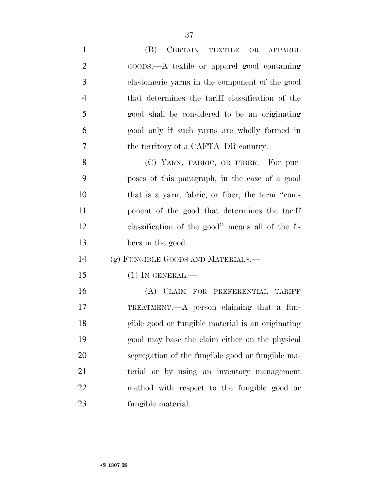| $\mathbf{1}$   | (B) CERTAIN TEXTILE<br>OR APPAREL                 |
|----------------|---------------------------------------------------|
| $\overline{2}$ | GOODS.—A textile or apparel good containing       |
| 3              | elastomeric yarns in the component of the good    |
| $\overline{4}$ | that determines the tariff classification of the  |
| 5              | good shall be considered to be an originating     |
| 6              | good only if such yarns are wholly formed in      |
| 7              | the territory of a CAFTA–DR country.              |
| 8              | (C) YARN, FABRIC, OR FIBER.—For pur-              |
| 9              | poses of this paragraph, in the case of a good    |
| 10             | that is a yarn, fabric, or fiber, the term "com-  |
| 11             | ponent of the good that determines the tariff     |
| 12             | classification of the good" means all of the fi-  |
| 13             | bers in the good.                                 |
| 14             | (g) FUNGIBLE GOODS AND MATERIALS.—                |
| 15             | $(1)$ In GENERAL.—                                |
| 16             | (A) CLAIM FOR PREFERENTIAL TARIFF                 |
| 17             | TREATMENT.—A person claiming that a fun-          |
| 18             | gible good or fungible material is an originating |
| 19             | good may base the claim either on the physical    |
| 20             | segregation of the fungible good or fungible ma-  |
| 21             | terial or by using an inventory management        |
| 22             | method with respect to the fungible good or       |
| 23             | fungible material.                                |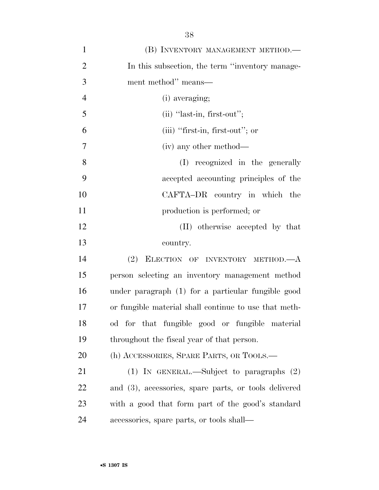| $\mathbf{1}$   | (B) INVENTORY MANAGEMENT METHOD.—                     |
|----------------|-------------------------------------------------------|
| $\overline{2}$ | In this subsection, the term "inventory manage-       |
| 3              | ment method" means—                                   |
| $\overline{4}$ | (i) averaging;                                        |
| 5              | $(ii)$ "last-in, first-out";                          |
| 6              | (iii) "first-in, first-out"; or                       |
| $\overline{7}$ | (iv) any other method—                                |
| 8              | (I) recognized in the generally                       |
| 9              | accepted accounting principles of the                 |
| 10             | CAFTA-DR country in which the                         |
| 11             | production is performed; or                           |
| 12             | (II) otherwise accepted by that                       |
| 13             | country.                                              |
| 14             | (2)<br>ELECTION OF INVENTORY METHOD.-                 |
| 15             | person selecting an inventory management method       |
| 16             | under paragraph (1) for a particular fungible good    |
| 17             | or fungible material shall continue to use that meth- |
| 18             | od for that fungible good or fungible material        |
| 19             | throughout the fiscal year of that person.            |
| 20             | (h) ACCESSORIES, SPARE PARTS, OR TOOLS.—              |
| 21             | (1) IN GENERAL.—Subject to paragraphs $(2)$           |
| 22             | and (3), accessories, spare parts, or tools delivered |
| 23             | with a good that form part of the good's standard     |
| 24             | accessories, spare parts, or tools shall—             |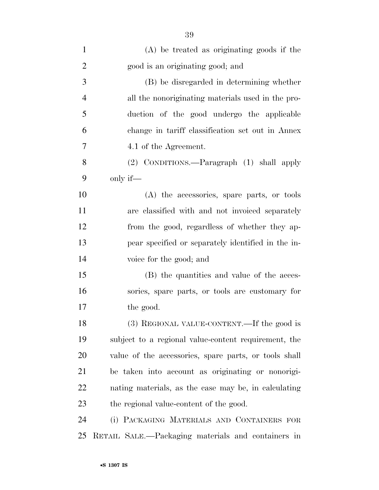| $\mathbf{1}$   | $(A)$ be treated as originating goods if the          |
|----------------|-------------------------------------------------------|
| $\overline{2}$ | good is an originating good; and                      |
| 3              | (B) be disregarded in determining whether             |
| $\overline{4}$ | all the nonoriginating materials used in the pro-     |
| 5              | duction of the good undergo the applicable            |
| 6              | change in tariff classification set out in Annex      |
| 7              | 4.1 of the Agreement.                                 |
| 8              | (2) CONDITIONS.—Paragraph (1) shall apply             |
| 9              | only if—                                              |
| 10             | (A) the accessories, spare parts, or tools            |
| 11             | are classified with and not invoiced separately       |
| 12             | from the good, regardless of whether they ap-         |
| 13             | pear specified or separately identified in the in-    |
| 14             | voice for the good; and                               |
| 15             | (B) the quantities and value of the acces-            |
| 16             | sories, spare parts, or tools are customary for       |
| 17             | the good.                                             |
| 18             | (3) REGIONAL VALUE-CONTENT.—If the good is            |
| 19             | subject to a regional value-content requirement, the  |
| 20             | value of the accessories, spare parts, or tools shall |
| 21             | be taken into account as originating or nonorigi-     |
| <u>22</u>      | nating materials, as the case may be, in calculating  |
| 23             | the regional value-content of the good.               |
| 24             | (i) PACKAGING MATERIALS AND CONTAINERS FOR            |
| 25             | RETAIL SALE.—Packaging materials and containers in    |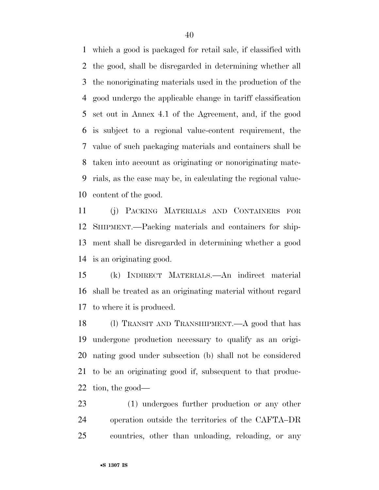which a good is packaged for retail sale, if classified with the good, shall be disregarded in determining whether all the nonoriginating materials used in the production of the good undergo the applicable change in tariff classification set out in Annex 4.1 of the Agreement, and, if the good is subject to a regional value-content requirement, the value of such packaging materials and containers shall be taken into account as originating or nonoriginating mate- rials, as the case may be, in calculating the regional value-content of the good.

 (j) PACKING MATERIALS AND CONTAINERS FOR SHIPMENT.—Packing materials and containers for ship- ment shall be disregarded in determining whether a good is an originating good.

 (k) INDIRECT MATERIALS.—An indirect material shall be treated as an originating material without regard to where it is produced.

 (l) TRANSIT AND TRANSHIPMENT.—A good that has undergone production necessary to qualify as an origi- nating good under subsection (b) shall not be considered to be an originating good if, subsequent to that produc-tion, the good—

 (1) undergoes further production or any other operation outside the territories of the CAFTA–DR countries, other than unloading, reloading, or any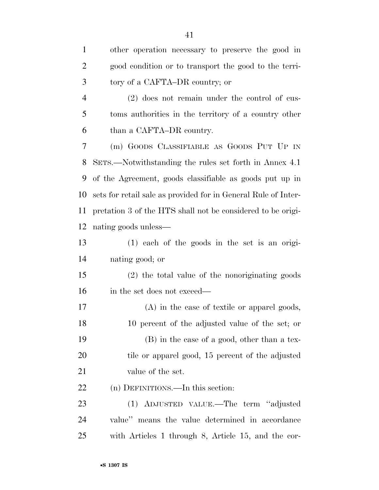| $\mathbf{1}$ | other operation necessary to preserve the good in     |
|--------------|-------------------------------------------------------|
| 2            | good condition or to transport the good to the terri- |
| 3            | tory of a CAFTA–DR country; or                        |
| 4            | $(2)$ does not remain under the control of cus-       |
| 5            | toms authorities in the territory of a country other  |
| 6            | than a CAFTA–DR country.                              |

 (m) GOODS CLASSIFIABLE AS GOODS PUT UP IN SETS.—Notwithstanding the rules set forth in Annex 4.1 of the Agreement, goods classifiable as goods put up in sets for retail sale as provided for in General Rule of Inter- pretation 3 of the HTS shall not be considered to be origi-nating goods unless—

 (1) each of the goods in the set is an origi-nating good; or

 (2) the total value of the nonoriginating goods in the set does not exceed—

 (A) in the case of textile or apparel goods, 10 percent of the adjusted value of the set; or (B) in the case of a good, other than a tex-20 tile or apparel good, 15 percent of the adjusted 21 value of the set.

22 (n) DEFINITIONS.—In this section:

 (1) ADJUSTED VALUE.—The term ''adjusted value'' means the value determined in accordance with Articles 1 through 8, Article 15, and the cor-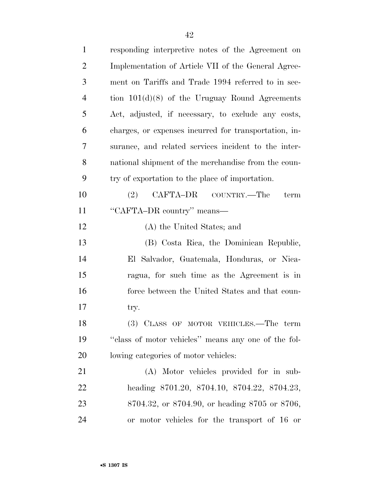| $\mathbf{1}$   | responding interpretive notes of the Agreement on     |
|----------------|-------------------------------------------------------|
| $\overline{2}$ | Implementation of Article VII of the General Agree-   |
| 3              | ment on Tariffs and Trade 1994 referred to in sec-    |
| $\overline{4}$ | tion $101(d)(8)$ of the Uruguay Round Agreements      |
| 5              | Act, adjusted, if necessary, to exclude any costs,    |
| 6              | charges, or expenses incurred for transportation, in- |
| 7              | surance, and related services incident to the inter-  |
| 8              | national shipment of the merchandise from the coun-   |
| 9              | try of exportation to the place of importation.       |
| 10             | CAFTA-DR COUNTRY.—The<br>(2)<br>term                  |
| 11             | "CAFTA-DR country" means—                             |
| 12             | (A) the United States; and                            |
| 13             | (B) Costa Rica, the Dominican Republic,               |
| 14             | El Salvador, Guatemala, Honduras, or Nica-            |
| 15             | ragua, for such time as the Agreement is in           |
| 16             | force between the United States and that coun-        |
| 17             | try.                                                  |
| 18             | (3) CLASS OF MOTOR VEHICLES.—The term                 |
| 19             | "class of motor vehicles" means any one of the fol-   |
| 20             | lowing categories of motor vehicles:                  |
| 21             | (A) Motor vehicles provided for in sub-               |
| 22             | heading 8701.20, 8704.10, 8704.22, 8704.23,           |
| 23             | 8704.32, or 8704.90, or heading 8705 or 8706,         |
| 24             | or motor vehicles for the transport of 16 or          |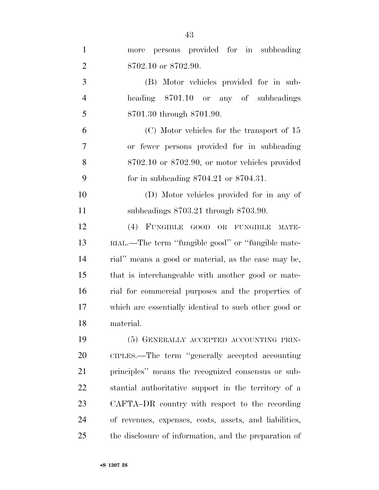| $\mathbf{1}$   | persons provided for in subheading<br>more             |
|----------------|--------------------------------------------------------|
| $\overline{2}$ | 8702.10 or 8702.90.                                    |
| 3              | (B) Motor vehicles provided for in sub-                |
| $\overline{4}$ | heading 8701.10 or any of subheadings                  |
| 5              | 8701.30 through 8701.90.                               |
| 6              | $(C)$ Motor vehicles for the transport of 15           |
| 7              | or fewer persons provided for in subheading            |
| 8              | $8702.10$ or $8702.90$ , or motor vehicles provided    |
| 9              | for in subheading $8704.21$ or $8704.31$ .             |
| 10             | (D) Motor vehicles provided for in any of              |
| 11             | subheadings 8703.21 through 8703.90.                   |
| 12             | (4) FUNGIBLE GOOD OR FUNGIBLE<br>MATE-                 |
| 13             | RIAL.—The term "fungible good" or "fungible mate-      |
| 14             | rial" means a good or material, as the case may be,    |
| 15             | that is interchangeable with another good or mate-     |
| 16             | rial for commercial purposes and the properties of     |
| 17             | which are essentially identical to such other good or  |
| 18             | material.                                              |
| 19             | (5) GENERALLY ACCEPTED ACCOUNTING PRIN-                |
| 20             | CIPLES.—The term "generally accepted accounting        |
| 21             | principles" means the recognized consensus or sub-     |
| 22             | stantial authoritative support in the territory of a   |
| 23             | CAFTA-DR country with respect to the recording         |
| 24             | of revenues, expenses, costs, assets, and liabilities, |
| 25             | the disclosure of information, and the preparation of  |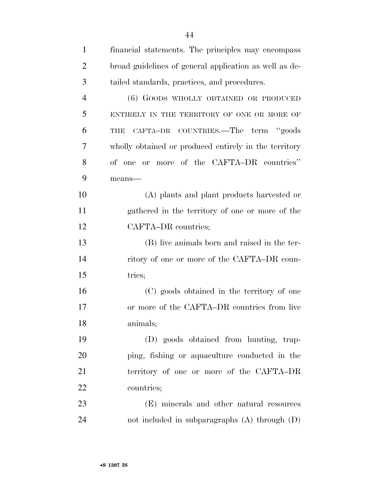| $\mathbf{1}$   | financial statements. The principles may encompass     |
|----------------|--------------------------------------------------------|
| $\overline{2}$ | broad guidelines of general application as well as de- |
| 3              | tailed standards, practices, and procedures.           |
| $\overline{4}$ | (6) GOODS WHOLLY OBTAINED OR PRODUCED                  |
| 5              | ENTIRELY IN THE TERRITORY OF ONE OR MORE OF            |
| 6              | CAFTA-DR COUNTRIES.—The term "goods<br>THE             |
| 7              | wholly obtained or produced entirely in the territory  |
| 8              | of one or more of the CAFTA-DR countries"              |
| 9              | means-                                                 |
| 10             | (A) plants and plant products harvested or             |
| 11             | gathered in the territory of one or more of the        |
| 12             | CAFTA-DR countries;                                    |
| 13             | (B) live animals born and raised in the ter-           |
| 14             | ritory of one or more of the CAFTA–DR coun-            |
| 15             | tries;                                                 |
| 16             | (C) goods obtained in the territory of one             |
| 17             | or more of the CAFTA–DR countries from live            |
| 18             | animals;                                               |
| 19             | (D) goods obtained from hunting, trap-                 |
| 20             | ping, fishing or aquaculture conducted in the          |
| 21             | territory of one or more of the CAFTA-DR               |
| 22             | countries;                                             |
| 23             | (E) minerals and other natural resources               |
| 24             | not included in subparagraphs $(A)$ through $(D)$      |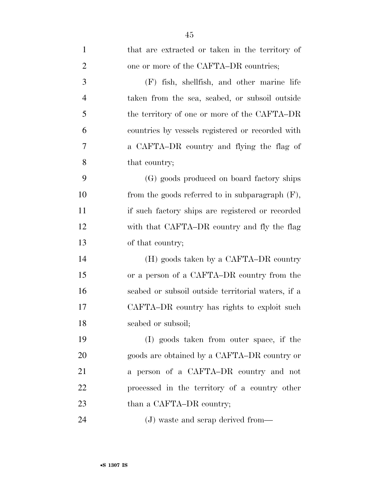| $\mathbf{1}$   | that are extracted or taken in the territory of    |
|----------------|----------------------------------------------------|
| $\overline{2}$ | one or more of the CAFTA–DR countries;             |
| 3              | (F) fish, shellfish, and other marine life         |
| $\overline{4}$ | taken from the sea, seabed, or subsoil outside     |
| 5              | the territory of one or more of the CAFTA–DR       |
| 6              | countries by vessels registered or recorded with   |
| $\overline{7}$ | a CAFTA-DR country and flying the flag of          |
| 8              | that country;                                      |
| 9              | (G) goods produced on board factory ships          |
| 10             | from the goods referred to in subparagraph $(F)$ , |
| 11             | if such factory ships are registered or recorded   |
| 12             | with that CAFTA–DR country and fly the flag        |
| 13             | of that country;                                   |
| 14             | (H) goods taken by a CAFTA–DR country              |
| 15             | or a person of a CAFTA–DR country from the         |
| 16             | seabed or subsoil outside territorial waters, if a |
| 17             | CAFTA–DR country has rights to exploit such        |
| 18             | seabed or subsoil;                                 |
| 19             | (I) goods taken from outer space, if the           |
| 20             | goods are obtained by a CAFTA–DR country or        |
| 21             | a person of a CAFTA-DR country and not             |
| 22             | processed in the territory of a country other      |
| 23             | than a CAFTA–DR country;                           |
| 24             | (J) waste and scrap derived from—                  |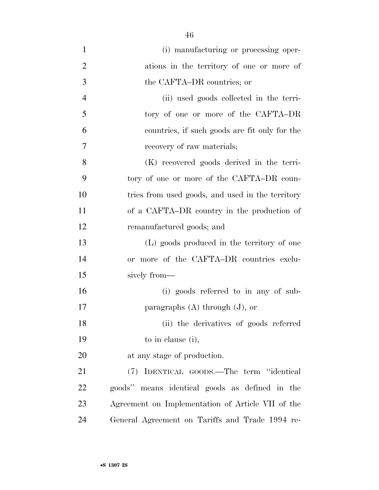| $\mathbf{1}$   | (i) manufacturing or processing oper-             |
|----------------|---------------------------------------------------|
| $\overline{2}$ | ations in the territory of one or more of         |
| 3              | the CAFTA–DR countries; or                        |
| $\overline{4}$ | (ii) used goods collected in the terri-           |
| 5              | tory of one or more of the CAFTA-DR               |
| 6              | countries, if such goods are fit only for the     |
| 7              | recovery of raw materials;                        |
| 8              | (K) recovered goods derived in the terri-         |
| 9              | tory of one or more of the CAFTA-DR coun-         |
| 10             | tries from used goods, and used in the territory  |
| 11             | of a CAFTA–DR country in the production of        |
| 12             | remanufactured goods; and                         |
| 13             | (L) goods produced in the territory of one        |
| 14             | or more of the CAFTA-DR countries exclu-          |
| 15             | sively from—                                      |
| 16             | (i) goods referred to in any of sub-              |
| 17             | paragraphs $(A)$ through $(J)$ , or               |
| 18             | (ii) the derivatives of goods referred            |
| 19             | to in clause (i),                                 |
| 20             | at any stage of production.                       |
| 21             | IDENTICAL GOODS.—The term "identical<br>(7)       |
| 22             | goods" means identical goods as defined in the    |
| 23             | Agreement on Implementation of Article VII of the |
| 24             | General Agreement on Tariffs and Trade 1994 re-   |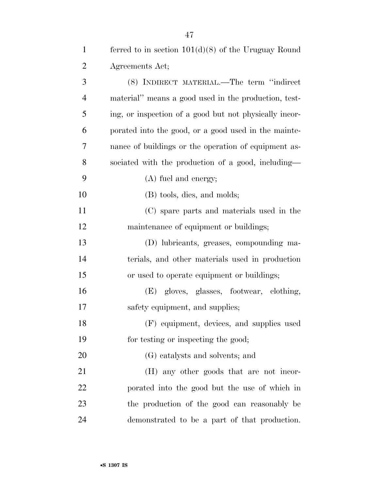| $\mathbf{1}$   | ferred to in section $101(d)(8)$ of the Uruguay Round  |
|----------------|--------------------------------------------------------|
| $\overline{2}$ | Agreements Act;                                        |
| 3              | (8) INDIRECT MATERIAL.—The term "indirect"             |
| $\overline{4}$ | material" means a good used in the production, test-   |
| 5              | ing, or inspection of a good but not physically incor- |
| 6              | porated into the good, or a good used in the mainte-   |
| 7              | nance of buildings or the operation of equipment as-   |
| 8              | sociated with the production of a good, including—     |
| 9              | (A) fuel and energy;                                   |
| 10             | (B) tools, dies, and molds;                            |
| 11             | (C) spare parts and materials used in the              |
| 12             | maintenance of equipment or buildings;                 |
| 13             | (D) lubricants, greases, compounding ma-               |
| 14             | terials, and other materials used in production        |
| 15             | or used to operate equipment or buildings;             |
| 16             | (E) gloves, glasses, footwear, clothing,               |
| 17             | safety equipment, and supplies;                        |
| 18             | (F) equipment, devices, and supplies used              |
| 19             | for testing or inspecting the good;                    |
| 20             | (G) catalysts and solvents; and                        |
| 21             | (H) any other goods that are not incor-                |
| 22             | porated into the good but the use of which in          |
| 23             | the production of the good can reasonably be           |
| 24             | demonstrated to be a part of that production.          |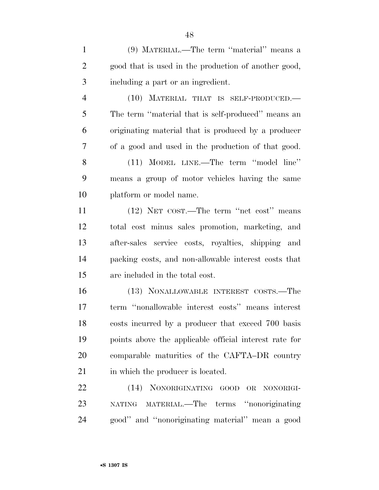(9) MATERIAL.—The term ''material'' means a good that is used in the production of another good, including a part or an ingredient.

 (10) MATERIAL THAT IS SELF-PRODUCED.— The term ''material that is self-produced'' means an originating material that is produced by a producer of a good and used in the production of that good. (11) MODEL LINE.—The term ''model line'' means a group of motor vehicles having the same platform or model name.

 (12) NET COST.—The term ''net cost'' means total cost minus sales promotion, marketing, and after-sales service costs, royalties, shipping and packing costs, and non-allowable interest costs that are included in the total cost.

 (13) NONALLOWABLE INTEREST COSTS.—The term ''nonallowable interest costs'' means interest costs incurred by a producer that exceed 700 basis points above the applicable official interest rate for comparable maturities of the CAFTA–DR country 21 in which the producer is located.

 (14) NONORIGINATING GOOD OR NONORIGI- NATING MATERIAL.—The terms ''nonoriginating good'' and ''nonoriginating material'' mean a good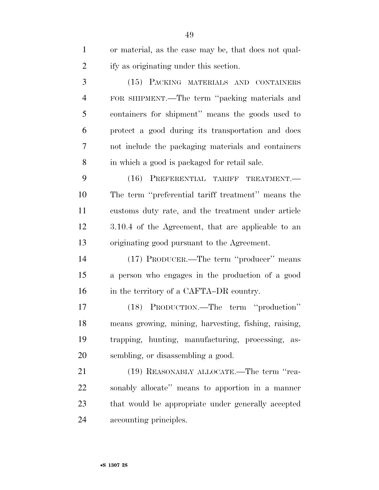| $\mathbf{1}$   | or material, as the case may be, that does not qual- |
|----------------|------------------------------------------------------|
| $\overline{2}$ | ify as originating under this section.               |
| 3              | (15) PACKING MATERIALS AND CONTAINERS                |
| $\overline{4}$ | FOR SHIPMENT.—The term "packing materials and        |
| 5              | containers for shipment" means the goods used to     |
| 6              | protect a good during its transportation and does    |
| 7              | not include the packaging materials and containers   |
| 8              | in which a good is packaged for retail sale.         |
| 9              | (16)<br>PREFERENTIAL TARIFF<br>TREATMENT.            |
| 10             | The term "preferential tariff treatment" means the   |
| 11             | customs duty rate, and the treatment under article   |
| 12             | 3.10.4 of the Agreement, that are applicable to an   |
| 13             | originating good pursuant to the Agreement.          |
| 14             | (17) PRODUCER.—The term "producer" means             |
| 15             | a person who engages in the production of a good     |
| 16             | in the territory of a CAFTA–DR country.              |
| 17             | (18) PRODUCTION.—The term "production"               |
| 18             | means growing, mining, harvesting, fishing, raising, |
| 19             | trapping, hunting, manufacturing, processing,<br>as- |
| 20             | sembling, or disassembling a good.                   |
| 21             | (19) REASONABLY ALLOCATE.—The term "rea-             |
| 22             | sonably allocate" means to apportion in a manner     |
| 23             | that would be appropriate under generally accepted   |
| 24             | accounting principles.                               |
|                |                                                      |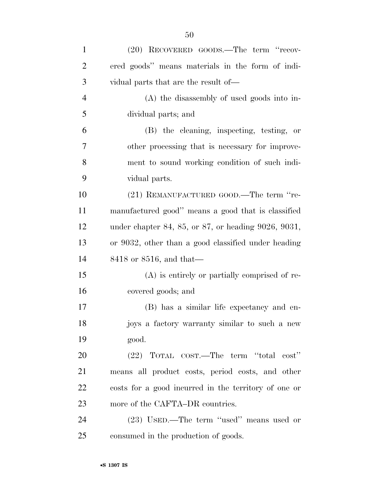(A) the disassembly of used goods into in-dividual parts; and

 (B) the cleaning, inspecting, testing, or other processing that is necessary for improve- ment to sound working condition of such indi-vidual parts.

 (21) REMANUFACTURED GOOD.—The term ''re- manufactured good'' means a good that is classified under chapter 84, 85, or 87, or heading 9026, 9031, or 9032, other than a good classified under heading 8418 or 8516, and that—

 (A) is entirely or partially comprised of re-covered goods; and

 (B) has a similar life expectancy and en- joys a factory warranty similar to such a new good.

 (22) TOTAL COST.—The term ''total cost'' means all product costs, period costs, and other costs for a good incurred in the territory of one or 23 more of the CAFTA–DR countries.

 (23) USED.—The term ''used'' means used or consumed in the production of goods.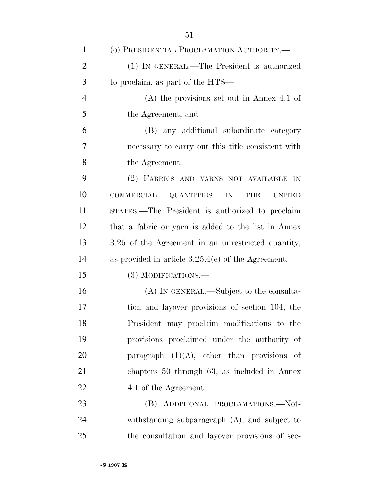| $\mathbf{1}$   | (o) PRESIDENTIAL PROCLAMATION AUTHORITY.-                                           |
|----------------|-------------------------------------------------------------------------------------|
| $\overline{2}$ | (1) IN GENERAL.—The President is authorized                                         |
| 3              | to proclaim, as part of the HTS—                                                    |
| $\overline{4}$ | $(A)$ the provisions set out in Annex 4.1 of                                        |
| 5              | the Agreement; and                                                                  |
| 6              | (B) any additional subordinate category                                             |
| 7              | necessary to carry out this title consistent with                                   |
| 8              | the Agreement.                                                                      |
| 9              | (2) FABRICS AND YARNS NOT AVAILABLE IN                                              |
| 10             | <b>COMMERCIAL</b><br><b>QUANTITIES</b><br>${\rm IN}$<br><b>THE</b><br><b>UNITED</b> |
| 11             | STATES.—The President is authorized to proclaim                                     |
| 12             | that a fabric or yarn is added to the list in Annex                                 |
| 13             | 3.25 of the Agreement in an unrestricted quantity,                                  |
| 14             | as provided in article $3.25.4(e)$ of the Agreement.                                |
| 15             | (3) MODIFICATIONS.—                                                                 |
| 16             | (A) IN GENERAL.—Subject to the consulta-                                            |
| 17             | tion and layover provisions of section 104, the                                     |
| 18             | President may proclaim modifications to the                                         |
| 19             | provisions proclaimed under the authority of                                        |
| 20             | paragraph $(1)(A)$ , other than provisions of                                       |
| 21             | chapters 50 through 63, as included in Annex                                        |
| 22             | 4.1 of the Agreement.                                                               |
| 23             | (B) ADDITIONAL PROCLAMATIONS.—Not-                                                  |
| 24             | with standing subparagraph $(A)$ , and subject to                                   |
| 25             | the consultation and layover provisions of sec-                                     |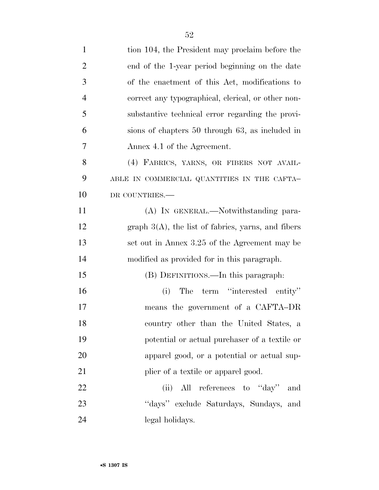| $\mathbf{1}$   | tion 104, the President may proclaim before the       |
|----------------|-------------------------------------------------------|
| $\overline{2}$ | end of the 1-year period beginning on the date        |
| 3              | of the enactment of this Act, modifications to        |
| $\overline{4}$ | correct any typographical, clerical, or other non-    |
| 5              | substantive technical error regarding the provi-      |
| 6              | sions of chapters 50 through 63, as included in       |
| 7              | Annex 4.1 of the Agreement.                           |
| 8              | (4) FABRICS, YARNS, OR FIBERS NOT AVAIL-              |
| 9              | ABLE IN COMMERCIAL QUANTITIES IN THE CAFTA-           |
| 10             | DR COUNTRIES.-                                        |
| 11             | (A) IN GENERAL.—Notwithstanding para-                 |
| 12             | graph $3(A)$ , the list of fabrics, yarns, and fibers |
| 13             | set out in Annex 3.25 of the Agreement may be         |
| 14             | modified as provided for in this paragraph.           |
| 15             | (B) DEFINITIONS.—In this paragraph:                   |
| 16             | The term "interested entity"<br>(i)                   |
| 17             | means the government of a CAFTA-DR                    |
| 18             | country other than the United States, a               |
| 19             | potential or actual purchaser of a textile or         |
| 20             | apparel good, or a potential or actual sup-           |
| 21             | plier of a textile or apparel good.                   |
| 22             | All references to "day"<br>(ii)<br>and                |
| 23             | "days" exclude Saturdays, Sundays, and                |
| 24             | legal holidays.                                       |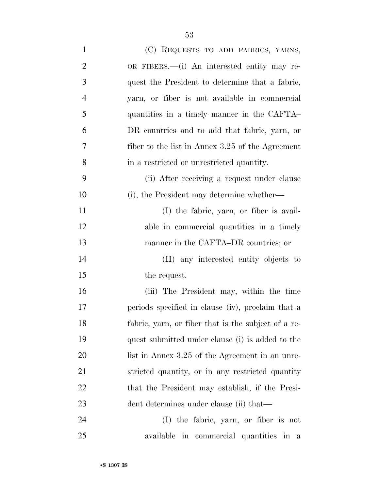| $\mathbf{1}$   | (C) REQUESTS TO ADD FABRICS, YARNS,                 |
|----------------|-----------------------------------------------------|
| $\overline{2}$ | OR FIBERS.—(i) An interested entity may re-         |
| 3              | quest the President to determine that a fabric,     |
| $\overline{4}$ | yarn, or fiber is not available in commercial       |
| 5              | quantities in a timely manner in the CAFTA-         |
| 6              | DR countries and to add that fabric, yarn, or       |
| 7              | fiber to the list in Annex $3.25$ of the Agreement  |
| 8              | in a restricted or unrestricted quantity.           |
| 9              | (ii) After receiving a request under clause         |
| 10             | (i), the President may determine whether—           |
| 11             | (I) the fabric, yarn, or fiber is avail-            |
| 12             | able in commercial quantities in a timely           |
| 13             | manner in the CAFTA–DR countries; or                |
| 14             | (II) any interested entity objects to               |
| 15             | the request.                                        |
| 16             | (iii) The President may, within the time            |
| 17             | periods specified in clause (iv), proclaim that a   |
| 18             | fabric, yarn, or fiber that is the subject of a re- |
| 19             | quest submitted under clause (i) is added to the    |
| <b>20</b>      | list in Annex 3.25 of the Agreement in an unre-     |
| 21             | stricted quantity, or in any restricted quantity    |
| 22             | that the President may establish, if the Presi-     |
| 23             | dent determines under clause (ii) that—             |
| 24             | (I) the fabric, yarn, or fiber is not               |
| 25             | available in commercial quantities in a             |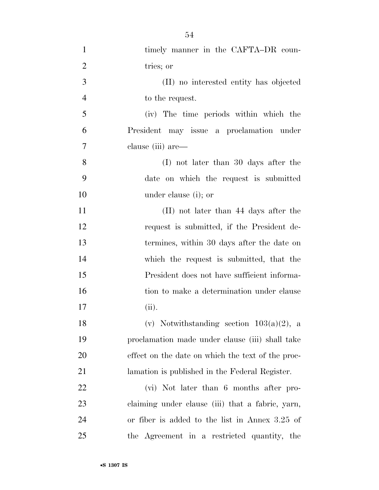| $\mathbf{1}$   | timely manner in the CAFTA-DR coun-               |
|----------------|---------------------------------------------------|
| $\overline{2}$ | tries; or                                         |
| 3              | (II) no interested entity has objected            |
| $\overline{4}$ | to the request.                                   |
| 5              | (iv) The time periods within which the            |
| 6              | President may issue a proclamation under          |
| 7              | clause (iii) are—                                 |
| 8              | (I) not later than 30 days after the              |
| 9              | date on which the request is submitted            |
| 10             | under clause (i); or                              |
| 11             | (II) not later than 44 days after the             |
| 12             | request is submitted, if the President de-        |
| 13             | termines, within 30 days after the date on        |
| 14             | which the request is submitted, that the          |
| 15             | President does not have sufficient informa-       |
| 16             | tion to make a determination under clause         |
| 17             | (ii).                                             |
| 18             | (v) Notwithstanding section $103(a)(2)$ , a       |
| 19             | proclamation made under clause (iii) shall take   |
| 20             | effect on the date on which the text of the proc- |
| 21             | lamation is published in the Federal Register.    |
| 22             | (vi) Not later than 6 months after pro-           |
| 23             | claiming under clause (iii) that a fabric, yarn,  |
| 24             | or fiber is added to the list in Annex 3.25 of    |
| 25             | the Agreement in a restricted quantity, the       |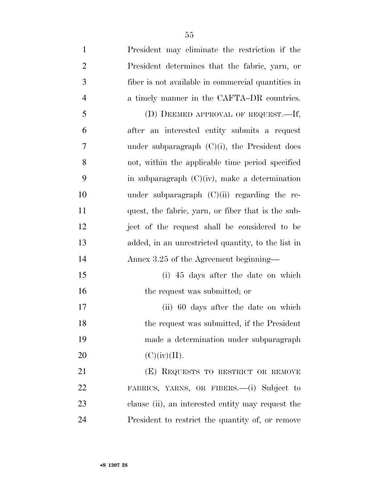| $\mathbf{1}$   | President may eliminate the restriction if the     |
|----------------|----------------------------------------------------|
| $\overline{2}$ | President determines that the fabric, yarn, or     |
| 3              | fiber is not available in commercial quantities in |
| $\overline{4}$ | a timely manner in the CAFTA-DR countries.         |
| 5              | (D) DEEMED APPROVAL OF REQUEST.—If,                |
| 6              | after an interested entity submits a request       |
| 7              | under subparagraph $(C)(i)$ , the President does   |
| 8              | not, within the applicable time period specified   |
| 9              | in subparagraph $(C)(iv)$ , make a determination   |
| 10             | under subparagraph $(C)(ii)$ regarding the re-     |
| 11             | quest, the fabric, yarn, or fiber that is the sub- |
| 12             | ject of the request shall be considered to be      |
| 13             | added, in an unrestricted quantity, to the list in |
| 14             | Annex 3.25 of the Agreement beginning—             |
| 15             | (i) 45 days after the date on which                |
| 16             | the request was submitted; or                      |
| 17             | (ii) 60 days after the date on which               |
| 18             | the request was submitted, if the President        |
| 19             | made a determination under subparagraph            |
| 20             | (C)(iv)(II).                                       |
| 21             | (E) REQUESTS TO RESTRICT OR REMOVE                 |
| 22             | FABRICS, YARNS, OR FIBERS.—(i) Subject to          |
| 23             | clause (ii), an interested entity may request the  |
| 24             | President to restrict the quantity of, or remove   |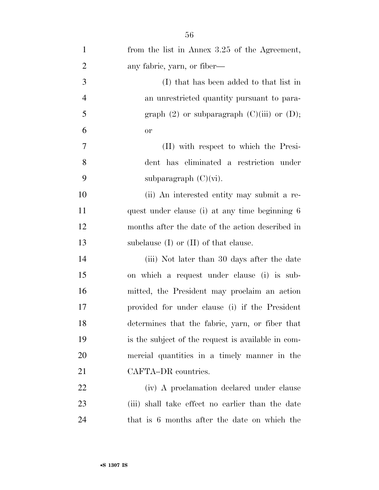| $\mathbf{1}$   | from the list in Annex 3.25 of the Agreement,      |
|----------------|----------------------------------------------------|
| $\overline{2}$ | any fabric, yarn, or fiber—                        |
| 3              | (I) that has been added to that list in            |
| $\overline{4}$ | an unrestricted quantity pursuant to para-         |
| 5              | graph $(2)$ or subparagraph $(C)(iii)$ or $(D)$ ;  |
| 6              | <b>or</b>                                          |
| 7              | (II) with respect to which the Presi-              |
| 8              | dent has eliminated a restriction under            |
| 9              | subparagraph $(C)(vi)$ .                           |
| 10             | (ii) An interested entity may submit a re-         |
| 11             | quest under clause (i) at any time beginning 6     |
| 12             | months after the date of the action described in   |
| 13             | subclause $(I)$ or $(II)$ of that clause.          |
| 14             | (iii) Not later than 30 days after the date        |
| 15             | on which a request under clause (i) is sub-        |
| 16             | mitted, the President may proclaim an action       |
| 17             | provided for under clause (i) if the President     |
| 18             | determines that the fabric, yarn, or fiber that    |
| 19             | is the subject of the request is available in com- |
| 20             | mercial quantities in a timely manner in the       |
| 21             | CAFTA-DR countries.                                |
| 22             | (iv) A proclamation declared under clause          |
| 23             | (iii) shall take effect no earlier than the date   |
| 24             | that is 6 months after the date on which the       |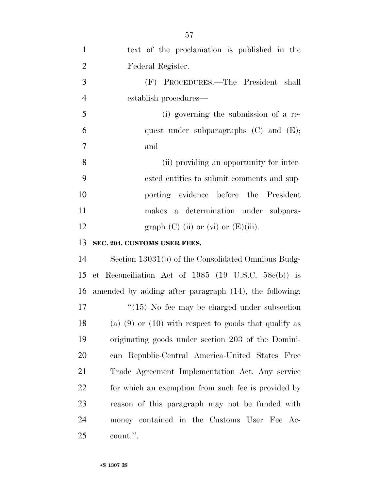| $\mathbf{1}$   | text of the proclamation is published in the              |
|----------------|-----------------------------------------------------------|
| $\overline{2}$ | Federal Register.                                         |
| 3              | (F) PROCEDURES.—The President<br>shall                    |
| $\overline{4}$ | establish procedures—                                     |
| 5              | (i) governing the submission of a re-                     |
| 6              | quest under subparagraphs $(C)$ and $(E)$ ;               |
| $\overline{7}$ | and                                                       |
| 8              | (ii) providing an opportunity for inter-                  |
| 9              | ested entities to submit comments and sup-                |
| 10             | porting evidence before the President                     |
| 11             | makes a determination under subpara-                      |
| 12             | graph $(C)$ (ii) or $(vi)$ or $(E)$ (iii).                |
| 13             | SEC. 204. CUSTOMS USER FEES.                              |
| 14             | Section 13031(b) of the Consolidated Omnibus Budg-        |
| 15             | et Reconciliation Act of 1985 (19 U.S.C. 58 $c$ (b)) is   |
| 16             | amended by adding after paragraph (14), the following:    |
| 17             | $\degree$ (15) No fee may be charged under subsection     |
| 18             | (a) $(9)$ or $(10)$ with respect to goods that qualify as |
| 19             | originating goods under section 203 of the Domini-        |
| 20             | can Republic-Central America-United States Free           |
| 21             | Trade Agreement Implementation Act. Any service           |
| 22             | for which an exemption from such fee is provided by       |
| 23             | reason of this paragraph may not be funded with           |
| 24             | money contained in the Customs User Fee Ac-               |
| 25             | count.".                                                  |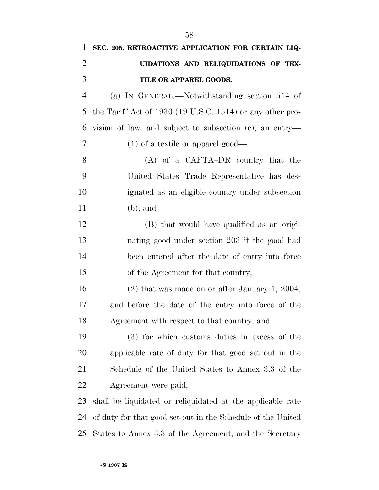| $\mathbf{1}$   | SEC. 205. RETROACTIVE APPLICATION FOR CERTAIN LIQ-          |
|----------------|-------------------------------------------------------------|
| $\overline{2}$ | UIDATIONS AND RELIQUIDATIONS OF TEX-                        |
| 3              | TILE OR APPAREL GOODS.                                      |
| $\overline{4}$ | (a) IN GENERAL.—Notwithstanding section 514 of              |
| 5              | the Tariff Act of $1930$ (19 U.S.C. 1514) or any other pro- |
| 6              | vision of law, and subject to subsection (c), an entry—     |
| 7              | $(1)$ of a textile or apparel good—                         |
| 8              | $(A)$ of a CAFTA-DR country that the                        |
| 9              | United States Trade Representative has des-                 |
| 10             | ignated as an eligible country under subsection             |
| 11             | $(b)$ , and                                                 |
| 12             | (B) that would have qualified as an origi-                  |
| 13             | nating good under section 203 if the good had               |
| 14             | been entered after the date of entry into force             |
| 15             | of the Agreement for that country,                          |
| 16             | $(2)$ that was made on or after January 1, 2004,            |
| 17             | and before the date of the entry into force of the          |
| 18             | Agreement with respect to that country, and                 |
| 19             | (3) for which customs duties in excess of the               |
| 20             | applicable rate of duty for that good set out in the        |
| 21             | Schedule of the United States to Annex 3.3 of the           |
| 22             | Agreement were paid,                                        |
| 23             | shall be liquidated or reliquidated at the applicable rate  |
| 24             | of duty for that good set out in the Schedule of the United |
| 25             | States to Annex 3.3 of the Agreement, and the Secretary     |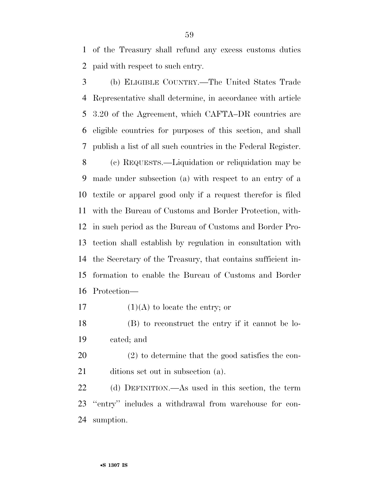of the Treasury shall refund any excess customs duties paid with respect to such entry.

 (b) ELIGIBLE COUNTRY.—The United States Trade Representative shall determine, in accordance with article 3.20 of the Agreement, which CAFTA–DR countries are eligible countries for purposes of this section, and shall publish a list of all such countries in the Federal Register. (c) REQUESTS.—Liquidation or reliquidation may be made under subsection (a) with respect to an entry of a textile or apparel good only if a request therefor is filed with the Bureau of Customs and Border Protection, with- in such period as the Bureau of Customs and Border Pro- tection shall establish by regulation in consultation with the Secretary of the Treasury, that contains sufficient in- formation to enable the Bureau of Customs and Border Protection—

- 17  $(1)(A)$  to locate the entry; or
- (B) to reconstruct the entry if it cannot be lo-cated; and
- (2) to determine that the good satisfies the con-21 ditions set out in subsection (a).

 (d) DEFINITION.—As used in this section, the term ''entry'' includes a withdrawal from warehouse for con-sumption.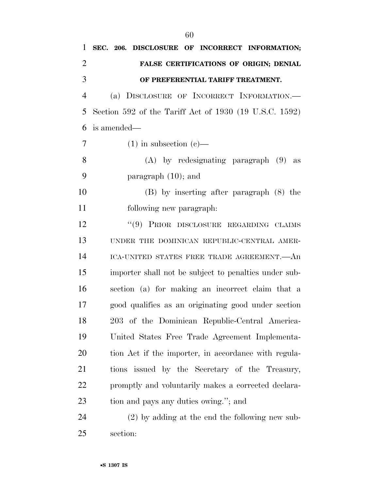| 1              | SEC. 206. DISCLOSURE OF INCORRECT INFORMATION;         |
|----------------|--------------------------------------------------------|
| 2              | FALSE CERTIFICATIONS OF ORIGIN; DENIAL                 |
| 3              | OF PREFERENTIAL TARIFF TREATMENT.                      |
| $\overline{4}$ | (a) DISCLOSURE OF INCORRECT INFORMATION.               |
| 5              | Section 592 of the Tariff Act of 1930 (19 U.S.C. 1592) |
| 6              | is amended—                                            |
| 7              | $(1)$ in subsection $(e)$ —                            |
| 8              | $(A)$ by redesignating paragraph $(9)$ as              |
| 9              | paragraph $(10)$ ; and                                 |
| 10             | (B) by inserting after paragraph (8) the               |
| 11             | following new paragraph:                               |
| 12             | "(9) PRIOR DISCLOSURE REGARDING CLAIMS                 |
| 13             | UNDER THE DOMINICAN REPUBLIC-CENTRAL AMER-             |
| 14             | ICA-UNITED STATES FREE TRADE AGREEMENT. An             |
| 15             | importer shall not be subject to penalties under sub-  |
| 16             | section (a) for making an incorrect claim that a       |
| 17             | good qualifies as an originating good under section    |
| 18             | 203 of the Dominican Republic-Central America-         |
| 19             | United States Free Trade Agreement Implementa-         |
| 20             | tion Act if the importer, in accordance with regula-   |
| 21             | tions issued by the Secretary of the Treasury,         |
| 22             | promptly and voluntarily makes a corrected declara-    |
| 23             | tion and pays any duties owing."; and                  |
| 24             | $(2)$ by adding at the end the following new sub-      |
| 25             | section:                                               |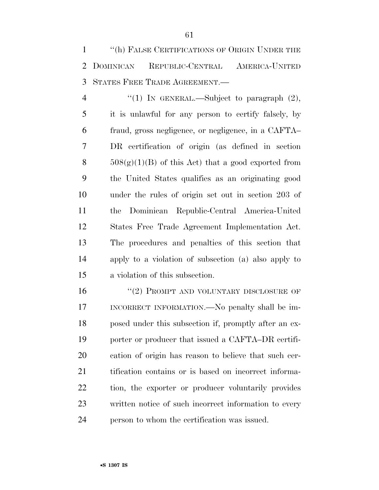''(h) FALSE CERTIFICATIONS OF ORIGIN UNDER THE DOMINICAN REPUBLIC-CENTRAL AMERICA-UNITED STATES FREE TRADE AGREEMENT.—

 $\qquad$  (1) In GENERAL.—Subject to paragraph (2), it is unlawful for any person to certify falsely, by fraud, gross negligence, or negligence, in a CAFTA– DR certification of origin (as defined in section  $508(g)(1)(B)$  of this Act) that a good exported from the United States qualifies as an originating good under the rules of origin set out in section 203 of the Dominican Republic-Central America-United States Free Trade Agreement Implementation Act. The procedures and penalties of this section that apply to a violation of subsection (a) also apply to a violation of this subsection.

16 "(2) PROMPT AND VOLUNTARY DISCLOSURE OF INCORRECT INFORMATION.—No penalty shall be im- posed under this subsection if, promptly after an ex- porter or producer that issued a CAFTA–DR certifi- cation of origin has reason to believe that such cer- tification contains or is based on incorrect informa- tion, the exporter or producer voluntarily provides written notice of such incorrect information to every person to whom the certification was issued.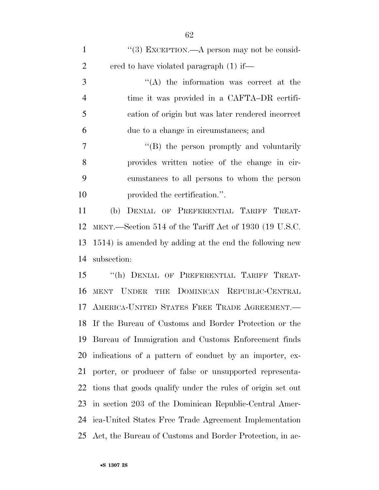| $\mathbf{1}$   | "(3) EXCEPTION.—A person may not be consid-                   |
|----------------|---------------------------------------------------------------|
| $\overline{2}$ | ered to have violated paragraph (1) if—                       |
| 3              | $\lq\lq$ the information was correct at the                   |
| $\overline{4}$ | time it was provided in a CAFTA-DR certifi-                   |
| 5              | cation of origin but was later rendered incorrect             |
| 6              | due to a change in circumstances; and                         |
| $\overline{7}$ | "(B) the person promptly and voluntarily                      |
| 8              | provides written notice of the change in cir-                 |
| 9              | cumstances to all persons to whom the person                  |
| 10             | provided the certification.".                                 |
| 11             | DENIAL OF PREFERENTIAL TARIFF TREAT-<br>(b)                   |
| 12             | MENT.—Section 514 of the Tariff Act of 1930 (19 U.S.C.        |
| 13             | 1514) is amended by adding at the end the following new       |
| 14             | subsection:                                                   |
| 15             | "(h) DENIAL OF PREFERENTIAL TARIFF TREAT-                     |
| 16             | THE DOMINICAN REPUBLIC-CENTRAL<br><b>UNDER</b><br><b>MENT</b> |
|                | 17 AMERICA-UNITED STATES FREE TRADE AGREEMENT.                |
|                | 18 If the Bureau of Customs and Border Protection or the      |
| 19             | Bureau of Immigration and Customs Enforcement finds           |
| 20             | indications of a pattern of conduct by an importer, ex-       |
| 21             | porter, or producer of false or unsupported representa-       |
| 22             | tions that goods qualify under the rules of origin set out    |
| 23             | in section 203 of the Dominican Republic-Central Amer-        |
| 24             | ica-United States Free Trade Agreement Implementation         |
| 25             | Act, the Bureau of Customs and Border Protection, in ac-      |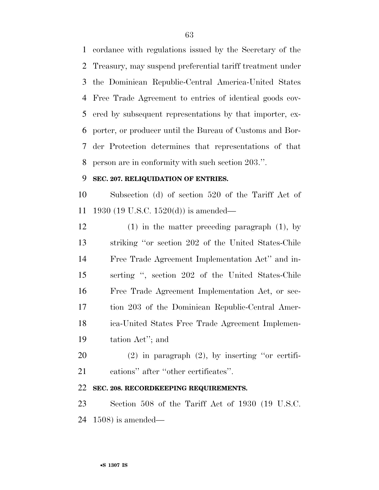cordance with regulations issued by the Secretary of the Treasury, may suspend preferential tariff treatment under the Dominican Republic-Central America-United States Free Trade Agreement to entries of identical goods cov- ered by subsequent representations by that importer, ex- porter, or producer until the Bureau of Customs and Bor- der Protection determines that representations of that person are in conformity with such section 203.''.

## **SEC. 207. RELIQUIDATION OF ENTRIES.**

 Subsection (d) of section 520 of the Tariff Act of 1930 (19 U.S.C. 1520(d)) is amended—

 (1) in the matter preceding paragraph (1), by striking ''or section 202 of the United States-Chile Free Trade Agreement Implementation Act'' and in- serting '', section 202 of the United States-Chile Free Trade Agreement Implementation Act, or sec- tion 203 of the Dominican Republic-Central Amer- ica-United States Free Trade Agreement Implemen-tation Act''; and

 (2) in paragraph (2), by inserting ''or certifi-cations'' after ''other certificates''.

## **SEC. 208. RECORDKEEPING REQUIREMENTS.**

 Section 508 of the Tariff Act of 1930 (19 U.S.C. 1508) is amended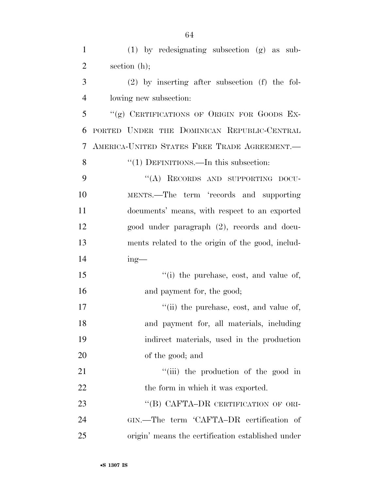(1) by redesignating subsection (g) as sub-

| $\overline{2}$ | section $(h)$ ;                                    |
|----------------|----------------------------------------------------|
| 3              | $(2)$ by inserting after subsection $(f)$ the fol- |
| $\overline{4}$ | lowing new subsection:                             |
| 5              | "(g) CERTIFICATIONS OF ORIGIN FOR GOODS EX-        |
| 6              | PORTED UNDER THE DOMINICAN REPUBLIC-CENTRAL        |
| 7              | AMERICA-UNITED STATES FREE TRADE AGREEMENT.        |
| 8              | "(1) DEFINITIONS.—In this subsection:              |
| 9              | "(A) RECORDS AND SUPPORTING DOCU-                  |
| 10             | MENTS.—The term 'records and supporting            |
| 11             | documents' means, with respect to an exported      |
| 12             | good under paragraph (2), records and docu-        |
| 13             | ments related to the origin of the good, includ-   |
| 14             | $ing$ —                                            |
| 15             | "(i) the purchase, cost, and value of,             |
| 16             | and payment for, the good;                         |
| 17             | "(ii) the purchase, cost, and value of,            |
| 18             | and payment for, all materials, including          |
| 19             | indirect materials, used in the production         |
| 20             | of the good; and                                   |
| 21             | "(iii) the production of the good in               |
| 22             | the form in which it was exported.                 |
| 23             | "(B) CAFTA-DR CERTIFICATION OF ORI-                |
| 24             | GIN.—The term 'CAFTA-DR certification of           |

origin' means the certification established under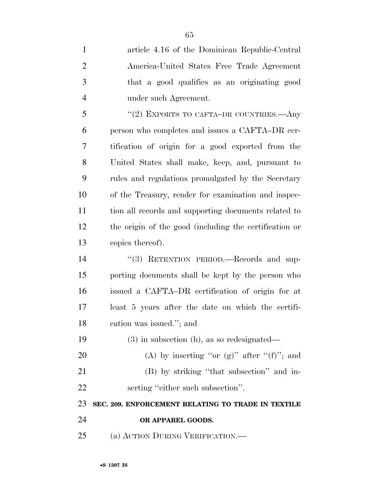| $\mathbf{1}$   | article 4.16 of the Dominican Republic-Central         |
|----------------|--------------------------------------------------------|
| $\overline{2}$ | America-United States Free Trade Agreement             |
| 3              | that a good qualifies as an originating good           |
| $\overline{4}$ | under such Agreement.                                  |
| 5              | "(2) EXPORTS TO CAFTA-DR COUNTRIES.—Any                |
| 6              | person who completes and issues a CAFTA–DR cer-        |
| 7              | tification of origin for a good exported from the      |
| 8              | United States shall make, keep, and, pursuant to       |
| 9              | rules and regulations promulgated by the Secretary     |
| 10             | of the Treasury, render for examination and inspec-    |
| 11             | tion all records and supporting documents related to   |
| 12             | the origin of the good (including the certification or |
| 13             | copies thereof).                                       |
| 14             | "(3) RETENTION PERIOD.—Records and sup-                |
| 15             | porting documents shall be kept by the person who      |
| 16             | issued a CAFTA-DR certification of origin for at       |
| 17             | least 5 years after the date on which the certifi-     |
| 18             | cation was issued."; and                               |
| 19             | $(3)$ in subsection (h), as so redesignated—           |
| 20             | (A) by inserting "or (g)" after " $(f)$ "; and         |
| 21             | (B) by striking "that subsection" and in-              |
| 22             | serting "either such subsection".                      |
| 23             | SEC. 209. ENFORCEMENT RELATING TO TRADE IN TEXTILE     |
| 24             | OR APPAREL GOODS.                                      |
| 25             | (a) ACTION DURING VERIFICATION.—                       |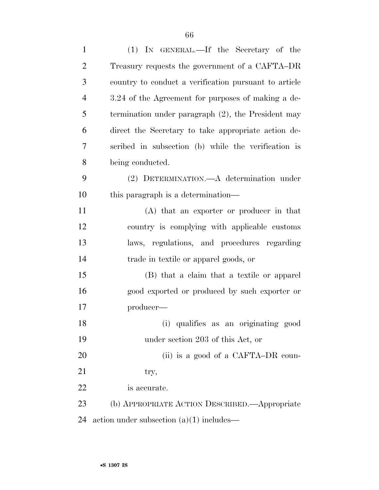| $\mathbf{1}$   | (1) IN GENERAL.—If the Secretary of the               |
|----------------|-------------------------------------------------------|
| $\overline{2}$ | Treasury requests the government of a CAFTA–DR        |
| 3              | country to conduct a verification pursuant to article |
| $\overline{4}$ | 3.24 of the Agreement for purposes of making a de-    |
| 5              | termination under paragraph $(2)$ , the President may |
| 6              | direct the Secretary to take appropriate action de-   |
| $\overline{7}$ | scribed in subsection (b) while the verification is   |
| 8              | being conducted.                                      |
| 9              | (2) DETERMINATION. A determination under              |
| 10             | this paragraph is a determination—                    |
| 11             | (A) that an exporter or producer in that              |
| 12             | country is complying with applicable customs          |
| 13             | laws, regulations, and procedures regarding           |
| 14             | trade in textile or apparel goods, or                 |
| 15             | (B) that a claim that a textile or apparel            |
| 16             | good exported or produced by such exporter or         |
| 17             | producer—                                             |
| 18             | qualifies as an originating good<br>(i)               |
| 19             | under section 203 of this Act, or                     |
| 20             | (ii) is a good of a CAFTA-DR coun-                    |
| 21             | try,                                                  |
| 22             | is accurate.                                          |
| 23             | (b) APPROPRIATE ACTION DESCRIBED. Appropriate         |
| 24             | action under subsection $(a)(1)$ includes—            |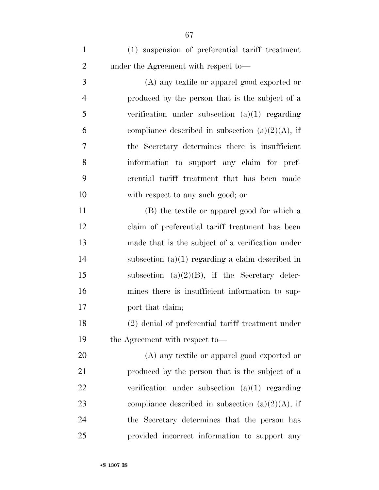(1) suspension of preferential tariff treatment under the Agreement with respect to—

 (A) any textile or apparel good exported or produced by the person that is the subject of a verification under subsection (a)(1) regarding 6 compliance described in subsection  $(a)(2)(A)$ , if the Secretary determines there is insufficient information to support any claim for pref- erential tariff treatment that has been made with respect to any such good; or

 (B) the textile or apparel good for which a claim of preferential tariff treatment has been made that is the subject of a verification under subsection (a)(1) regarding a claim described in subsection (a)(2)(B), if the Secretary deter- mines there is insufficient information to sup-17 port that claim;

 (2) denial of preferential tariff treatment under the Agreement with respect to—

 (A) any textile or apparel good exported or produced by the person that is the subject of a verification under subsection (a)(1) regarding 23 compliance described in subsection  $(a)(2)(A)$ , if the Secretary determines that the person has provided incorrect information to support any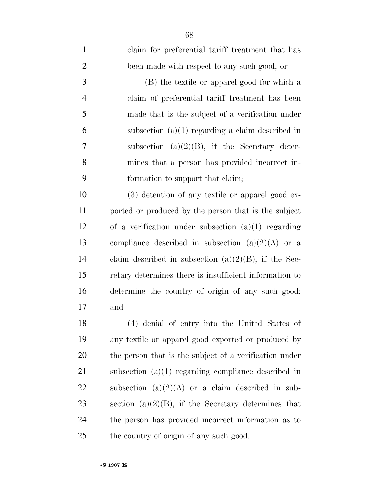| $\mathbf{1}$   | claim for preferential tariff treatment that has        |
|----------------|---------------------------------------------------------|
| $\overline{2}$ | been made with respect to any such good; or             |
| 3              | (B) the textile or apparel good for which a             |
| $\overline{4}$ | claim of preferential tariff treatment has been         |
| 5              | made that is the subject of a verification under        |
| 6              | subsection $(a)(1)$ regarding a claim described in      |
| 7              | subsection $(a)(2)(B)$ , if the Secretary deter-        |
| 8              | mines that a person has provided incorrect in-          |
| 9              | formation to support that claim;                        |
| 10             | (3) detention of any textile or apparel good ex-        |
| 11             | ported or produced by the person that is the subject    |
| 12             | of a verification under subsection $(a)(1)$ regarding   |
| 13             | compliance described in subsection $(a)(2)(A)$ or a     |
| 14             | claim described in subsection $(a)(2)(B)$ , if the Sec- |
| 15             | retary determines there is insufficient information to  |
| 16             | determine the country of origin of any such good;       |
| 17             | and                                                     |
| 18             | (4) denial of entry into the United States of           |
| 19             | any textile or apparel good exported or produced by     |
| 20             | the person that is the subject of a verification under  |
| 21             | subsection $(a)(1)$ regarding compliance described in   |
| 22             | subsection $(a)(2)(A)$ or a claim described in sub-     |
| 23             | section (a) $(2)(B)$ , if the Secretary determines that |
| 24             | the person has provided incorrect information as to     |
| 25             | the country of origin of any such good.                 |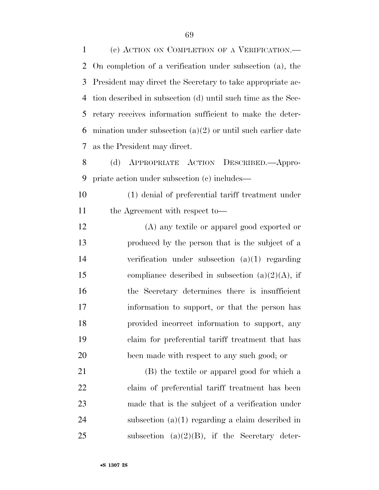(c) ACTION ON COMPLETION OF A VERIFICATION.— On completion of a verification under subsection (a), the President may direct the Secretary to take appropriate ac- tion described in subsection (d) until such time as the Sec- retary receives information sufficient to make the deter- mination under subsection (a)(2) or until such earlier date as the President may direct.

 (d) APPROPRIATE ACTION DESCRIBED.—Appro-priate action under subsection (c) includes—

 (1) denial of preferential tariff treatment under 11 the Agreement with respect to—

 (A) any textile or apparel good exported or produced by the person that is the subject of a verification under subsection (a)(1) regarding 15 compliance described in subsection  $(a)(2)(A)$ , if the Secretary determines there is insufficient information to support, or that the person has provided incorrect information to support, any claim for preferential tariff treatment that has been made with respect to any such good; or

 (B) the textile or apparel good for which a claim of preferential tariff treatment has been made that is the subject of a verification under subsection (a)(1) regarding a claim described in 25 subsection  $(a)(2)(B)$ , if the Secretary deter-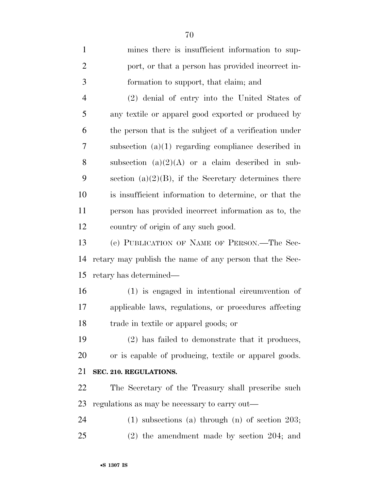| $\mathbf{1}$   | mines there is insufficient information to sup-          |
|----------------|----------------------------------------------------------|
| $\overline{2}$ | port, or that a person has provided incorrect in-        |
| 3              | formation to support, that claim; and                    |
| $\overline{4}$ | (2) denial of entry into the United States of            |
| 5              | any textile or apparel good exported or produced by      |
| 6              | the person that is the subject of a verification under   |
| 7              | subsection $(a)(1)$ regarding compliance described in    |
| 8              | subsection $(a)(2)(A)$ or a claim described in sub-      |
| 9              | section (a) $(2)(B)$ , if the Secretary determines there |
| 10             | is insufficient information to determine, or that the    |
| 11             | person has provided incorrect information as to, the     |
| 12             | country of origin of any such good.                      |
| 13             | (e) PUBLICATION OF NAME OF PERSON.—The Sec-              |
| 14             | retary may publish the name of any person that the Sec-  |
| 15             | retary has determined—                                   |
| 16             | (1) is engaged in intentional circumvention of           |
| 17             | applicable laws, regulations, or procedures affecting    |
| 18             | trade in textile or apparel goods; or                    |
| 19             | (2) has failed to demonstrate that it produces,          |
| 20             | or is capable of producing, textile or apparel goods.    |
| 21             | SEC. 210. REGULATIONS.                                   |
| 22             | The Secretary of the Treasury shall prescribe such       |
| 23             | regulations as may be necessary to carry out—            |
| 24             | $(1)$ subsections $(a)$ through $(n)$ of section 203;    |
| 25             | $(2)$ the amendment made by section 204; and             |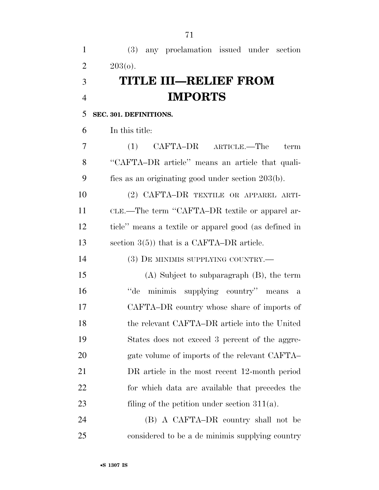(3) any proclamation issued under section 2  $203(0)$ . **TITLE III—RELIEF FROM IMPORTS SEC. 301. DEFINITIONS.**  In this title: (1) CAFTA–DR ARTICLE.—The term ''CAFTA–DR article'' means an article that quali- fies as an originating good under section 203(b). (2) CAFTA–DR TEXTILE OR APPAREL ARTI- CLE.—The term ''CAFTA–DR textile or apparel ar- ticle'' means a textile or apparel good (as defined in section 3(5)) that is a CAFTA–DR article. (3) DE MINIMIS SUPPLYING COUNTRY.— (A) Subject to subparagraph (B), the term ''de minimis supplying country'' means a CAFTA–DR country whose share of imports of the relevant CAFTA–DR article into the United States does not exceed 3 percent of the aggre-20 gate volume of imports of the relevant CAFTA– DR article in the most recent 12-month period for which data are available that precedes the 23 filing of the petition under section 311(a). (B) A CAFTA–DR country shall not be

considered to be a de minimis supplying country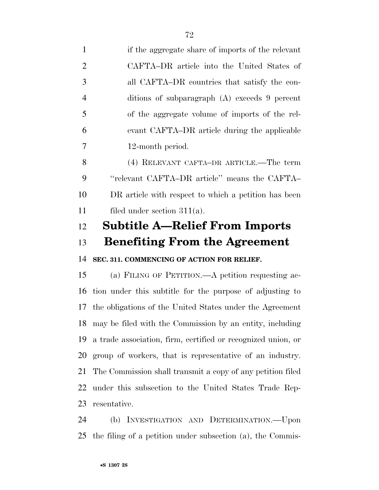if the aggregate share of imports of the relevant CAFTA–DR article into the United States of all CAFTA–DR countries that satisfy the con- ditions of subparagraph (A) exceeds 9 percent of the aggregate volume of imports of the rel- evant CAFTA–DR article during the applicable 12-month period. (4) RELEVANT CAFTA–DR ARTICLE.—The term ''relevant CAFTA–DR article'' means the CAFTA– DR article with respect to which a petition has been filed under section 311(a).

## **Subtitle A—Relief From Imports**

## **Benefiting From the Agreement**

**SEC. 311. COMMENCING OF ACTION FOR RELIEF.** 

 (a) FILING OF PETITION.—A petition requesting ac- tion under this subtitle for the purpose of adjusting to the obligations of the United States under the Agreement may be filed with the Commission by an entity, including a trade association, firm, certified or recognized union, or group of workers, that is representative of an industry. The Commission shall transmit a copy of any petition filed under this subsection to the United States Trade Rep-resentative.

 (b) INVESTIGATION AND DETERMINATION.—Upon the filing of a petition under subsection (a), the Commis-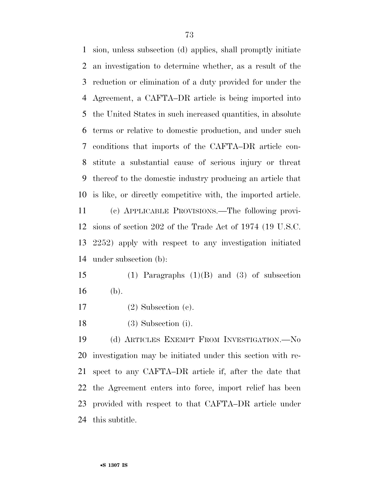sion, unless subsection (d) applies, shall promptly initiate an investigation to determine whether, as a result of the reduction or elimination of a duty provided for under the Agreement, a CAFTA–DR article is being imported into the United States in such increased quantities, in absolute terms or relative to domestic production, and under such conditions that imports of the CAFTA–DR article con- stitute a substantial cause of serious injury or threat thereof to the domestic industry producing an article that is like, or directly competitive with, the imported article. (c) APPLICABLE PROVISIONS.—The following provi-sions of section 202 of the Trade Act of 1974 (19 U.S.C.

 2252) apply with respect to any investigation initiated under subsection (b):

 (1) Paragraphs (1)(B) and (3) of subsection (b).

(2) Subsection (c).

(3) Subsection (i).

 (d) ARTICLES EXEMPT FROM INVESTIGATION.—No investigation may be initiated under this section with re- spect to any CAFTA–DR article if, after the date that the Agreement enters into force, import relief has been provided with respect to that CAFTA–DR article under this subtitle.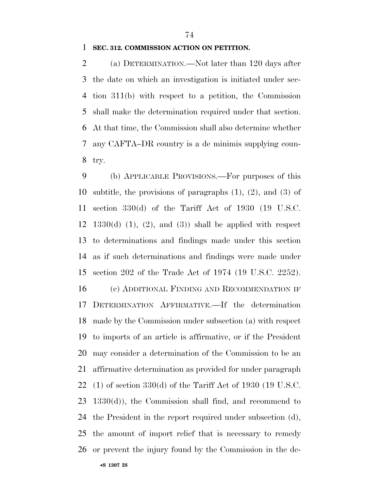#### **SEC. 312. COMMISSION ACTION ON PETITION.**

 (a) DETERMINATION.—Not later than 120 days after the date on which an investigation is initiated under sec- tion 311(b) with respect to a petition, the Commission shall make the determination required under that section. At that time, the Commission shall also determine whether any CAFTA–DR country is a de minimis supplying coun-try.

 (b) APPLICABLE PROVISIONS.—For purposes of this subtitle, the provisions of paragraphs (1), (2), and (3) of section 330(d) of the Tariff Act of 1930 (19 U.S.C. 12 1330(d) (1), (2), and (3)) shall be applied with respect to determinations and findings made under this section as if such determinations and findings were made under section 202 of the Trade Act of 1974 (19 U.S.C. 2252).

 (c) ADDITIONAL FINDING AND RECOMMENDATION IF DETERMINATION AFFIRMATIVE.—If the determination made by the Commission under subsection (a) with respect to imports of an article is affirmative, or if the President may consider a determination of the Commission to be an affirmative determination as provided for under paragraph (1) of section 330(d) of the Tariff Act of 1930 (19 U.S.C. 1330(d)), the Commission shall find, and recommend to the President in the report required under subsection (d), the amount of import relief that is necessary to remedy or prevent the injury found by the Commission in the de-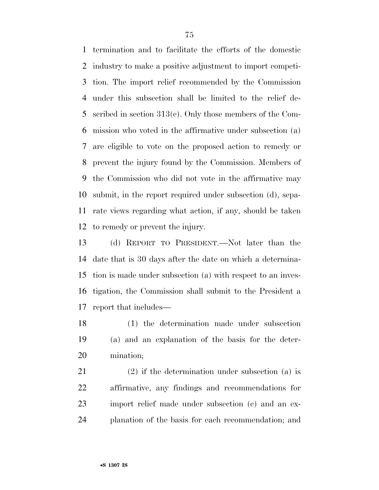termination and to facilitate the efforts of the domestic industry to make a positive adjustment to import competi- tion. The import relief recommended by the Commission under this subsection shall be limited to the relief de- scribed in section 313(c). Only those members of the Com- mission who voted in the affirmative under subsection (a) are eligible to vote on the proposed action to remedy or prevent the injury found by the Commission. Members of the Commission who did not vote in the affirmative may submit, in the report required under subsection (d), sepa- rate views regarding what action, if any, should be taken to remedy or prevent the injury.

 (d) REPORT TO PRESIDENT.—Not later than the date that is 30 days after the date on which a determina- tion is made under subsection (a) with respect to an inves- tigation, the Commission shall submit to the President a report that includes—

 (1) the determination made under subsection (a) and an explanation of the basis for the deter-mination;

 (2) if the determination under subsection (a) is affirmative, any findings and recommendations for import relief made under subsection (c) and an ex-planation of the basis for each recommendation; and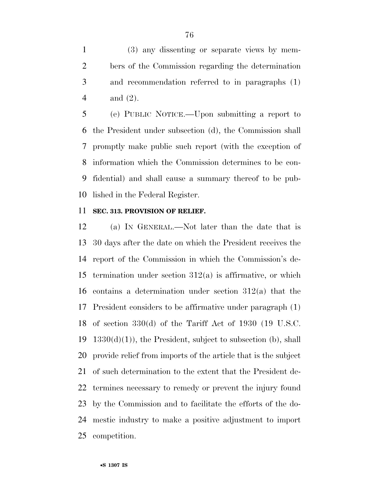(3) any dissenting or separate views by mem- bers of the Commission regarding the determination and recommendation referred to in paragraphs (1) and (2).

 (e) PUBLIC NOTICE.—Upon submitting a report to the President under subsection (d), the Commission shall promptly make public such report (with the exception of information which the Commission determines to be con- fidential) and shall cause a summary thereof to be pub-lished in the Federal Register.

## **SEC. 313. PROVISION OF RELIEF.**

 (a) IN GENERAL.—Not later than the date that is 30 days after the date on which the President receives the report of the Commission in which the Commission's de-15 termination under section  $312(a)$  is affirmative, or which contains a determination under section 312(a) that the President considers to be affirmative under paragraph (1) of section 330(d) of the Tariff Act of 1930 (19 U.S.C.  $1330(d)(1)$ , the President, subject to subsection (b), shall provide relief from imports of the article that is the subject of such determination to the extent that the President de- termines necessary to remedy or prevent the injury found by the Commission and to facilitate the efforts of the do- mestic industry to make a positive adjustment to import competition.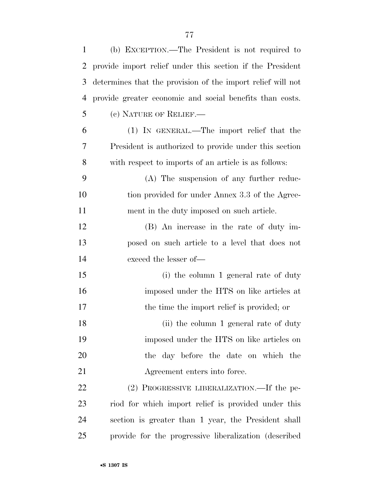| 1              | (b) EXCEPTION.—The President is not required to             |
|----------------|-------------------------------------------------------------|
| 2              | provide import relief under this section if the President   |
| 3              | determines that the provision of the import relief will not |
| $\overline{4}$ | provide greater economic and social benefits than costs.    |
| 5              | (c) NATURE OF RELIEF.—                                      |
| 6              | (1) IN GENERAL.—The import relief that the                  |
| 7              | President is authorized to provide under this section       |
| 8              | with respect to imports of an article is as follows:        |
| 9              | (A) The suspension of any further reduc-                    |
| 10             | tion provided for under Annex 3.3 of the Agree-             |
| 11             | ment in the duty imposed on such article.                   |
| 12             | (B) An increase in the rate of duty im-                     |
| 13             | posed on such article to a level that does not              |
| 14             | exceed the lesser of-                                       |
| 15             | (i) the column 1 general rate of duty                       |
| 16             | imposed under the HTS on like articles at                   |
| 17             | the time the import relief is provided; or                  |
| 18             | (ii) the column 1 general rate of duty                      |
| 19             | imposed under the HTS on like articles on                   |
| 20             | the day before the date on which the                        |
| 21             | Agreement enters into force.                                |
| 22             | (2) PROGRESSIVE LIBERALIZATION.—If the pe-                  |
| 23             | riod for which import relief is provided under this         |
| 24             | section is greater than 1 year, the President shall         |
| 25             | provide for the progressive liberalization (described       |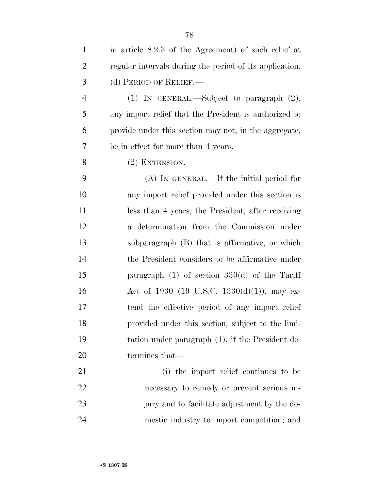| $\mathbf{1}$   | in article 8.2.3 of the Agreement) of such relief at    |
|----------------|---------------------------------------------------------|
| $\overline{2}$ | regular intervals during the period of its application. |
| 3              | (d) PERIOD OF RELIEF.—                                  |
| $\overline{4}$ | (1) IN GENERAL.—Subject to paragraph $(2)$ ,            |
| 5              | any import relief that the President is authorized to   |
| 6              | provide under this section may not, in the aggregate,   |
| 7              | be in effect for more than 4 years.                     |
| 8              | $(2)$ EXTENSION.—                                       |
| 9              | (A) IN GENERAL.—If the initial period for               |
| 10             | any import relief provided under this section is        |
| 11             | less than 4 years, the President, after receiving       |
| 12             | a determination from the Commission under               |
| 13             | subparagraph (B) that is affirmative, or which          |
| 14             | the President considers to be affirmative under         |
| 15             | paragraph $(1)$ of section 330 $(d)$ of the Tariff      |
| 16             | Act of 1930 (19 U.S.C. 1330(d)(1)), may ex-             |
| 17             | tend the effective period of any import relief          |
| 18             | provided under this section, subject to the limi-       |
| 19             | tation under paragraph (1), if the President de-        |
| 20             | termines that—                                          |
| 21             | (i) the import relief continues to be                   |
| 22             | necessary to remedy or prevent serious in-              |
| 23             | jury and to facilitate adjustment by the do-            |
| 24             | mestic industry to import competition; and              |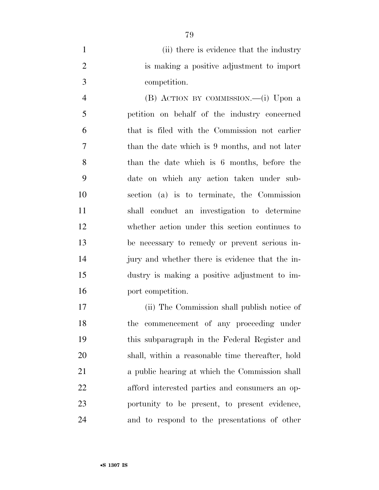1 (ii) there is evidence that the industry is making a positive adjustment to import competition.

 (B) ACTION BY COMMISSION.—(i) Upon a petition on behalf of the industry concerned that is filed with the Commission not earlier than the date which is 9 months, and not later than the date which is 6 months, before the date on which any action taken under sub- section (a) is to terminate, the Commission shall conduct an investigation to determine whether action under this section continues to be necessary to remedy or prevent serious in- jury and whether there is evidence that the in- dustry is making a positive adjustment to im-port competition.

 (ii) The Commission shall publish notice of the commencement of any proceeding under this subparagraph in the Federal Register and shall, within a reasonable time thereafter, hold a public hearing at which the Commission shall afford interested parties and consumers an op- portunity to be present, to present evidence, and to respond to the presentations of other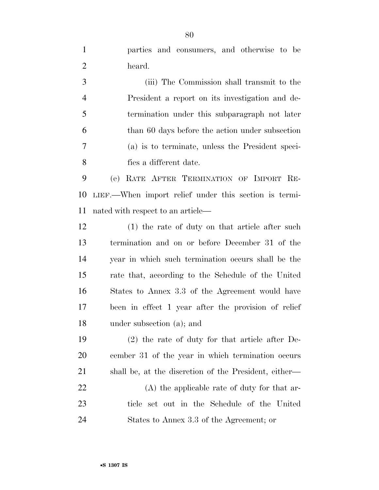parties and consumers, and otherwise to be heard.

 (iii) The Commission shall transmit to the President a report on its investigation and de- termination under this subparagraph not later than 60 days before the action under subsection (a) is to terminate, unless the President speci-fies a different date.

 (e) RATE AFTER TERMINATION OF IMPORT RE- LIEF.—When import relief under this section is termi-nated with respect to an article—

 (1) the rate of duty on that article after such termination and on or before December 31 of the year in which such termination occurs shall be the rate that, according to the Schedule of the United States to Annex 3.3 of the Agreement would have been in effect 1 year after the provision of relief under subsection (a); and

 (2) the rate of duty for that article after De- cember 31 of the year in which termination occurs shall be, at the discretion of the President, either— (A) the applicable rate of duty for that ar- ticle set out in the Schedule of the United States to Annex 3.3 of the Agreement; or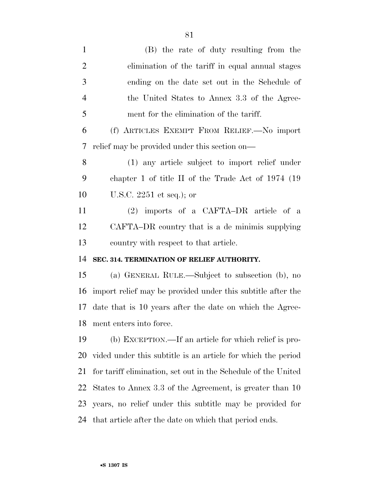| $\mathbf{1}$   | (B) the rate of duty resulting from the                       |
|----------------|---------------------------------------------------------------|
| $\overline{2}$ | elimination of the tariff in equal annual stages              |
| 3              | ending on the date set out in the Schedule of                 |
| $\overline{4}$ | the United States to Annex 3.3 of the Agree-                  |
| 5              | ment for the elimination of the tariff.                       |
| 6              | (f) ARTICLES EXEMPT FROM RELIEF. No import                    |
| 7              | relief may be provided under this section on—                 |
| 8              | (1) any article subject to import relief under                |
| 9              | chapter 1 of title II of the Trade Act of $1974$ (19          |
| 10             | U.S.C. $2251$ et seq.); or                                    |
| 11             | (2) imports of a CAFTA-DR article of a                        |
| 12             | CAFTA–DR country that is a de minimis supplying               |
|                |                                                               |
|                | country with respect to that article.                         |
| 13<br>14       | SEC. 314. TERMINATION OF RELIEF AUTHORITY.                    |
| 15             | (a) GENERAL RULE.—Subject to subsection (b), no               |
| 16             | import relief may be provided under this subtitle after the   |
| 17             | date that is 10 years after the date on which the Agree-      |
|                | 18 ment enters into force.                                    |
| 19             | (b) EXCEPTION.—If an article for which relief is pro-         |
| 20             | vided under this subtitle is an article for which the period  |
| 21             | for tariff elimination, set out in the Schedule of the United |
| 22             | States to Annex 3.3 of the Agreement, is greater than 10      |
| 23             | years, no relief under this subtitle may be provided for      |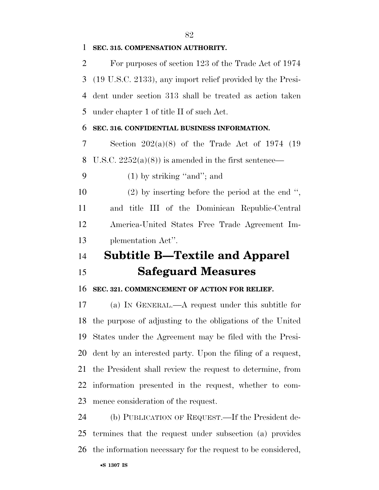### **SEC. 315. COMPENSATION AUTHORITY.**

 For purposes of section 123 of the Trade Act of 1974 (19 U.S.C. 2133), any import relief provided by the Presi- dent under section 313 shall be treated as action taken under chapter 1 of title II of such Act.

#### **SEC. 316. CONFIDENTIAL BUSINESS INFORMATION.**

 Section 202(a)(8) of the Trade Act of 1974 (19 8 U.S.C.  $2252(a)(8)$  is amended in the first sentence—

(1) by striking ''and''; and

 (2) by inserting before the period at the end '', and title III of the Dominican Republic-Central America-United States Free Trade Agreement Im-plementation Act''.

# **Subtitle B—Textile and Apparel Safeguard Measures**

#### **SEC. 321. COMMENCEMENT OF ACTION FOR RELIEF.**

 (a) IN GENERAL.—A request under this subtitle for the purpose of adjusting to the obligations of the United States under the Agreement may be filed with the Presi- dent by an interested party. Upon the filing of a request, the President shall review the request to determine, from information presented in the request, whether to com-mence consideration of the request.

 (b) PUBLICATION OF REQUEST.—If the President de- termines that the request under subsection (a) provides the information necessary for the request to be considered,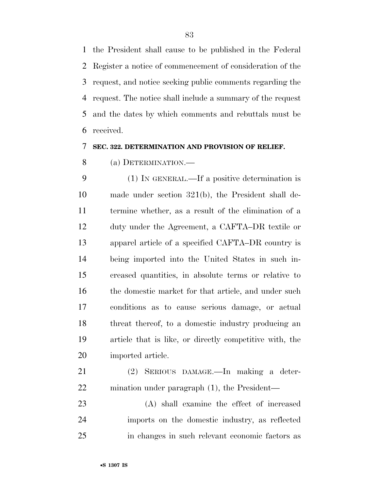the President shall cause to be published in the Federal Register a notice of commencement of consideration of the request, and notice seeking public comments regarding the request. The notice shall include a summary of the request and the dates by which comments and rebuttals must be received.

#### **SEC. 322. DETERMINATION AND PROVISION OF RELIEF.**

(a) DETERMINATION.—

 (1) IN GENERAL.—If a positive determination is made under section 321(b), the President shall de- termine whether, as a result of the elimination of a duty under the Agreement, a CAFTA–DR textile or apparel article of a specified CAFTA–DR country is being imported into the United States in such in- creased quantities, in absolute terms or relative to 16 the domestic market for that article, and under such conditions as to cause serious damage, or actual threat thereof, to a domestic industry producing an article that is like, or directly competitive with, the imported article.

 (2) SERIOUS DAMAGE.—In making a deter-mination under paragraph (1), the President—

 (A) shall examine the effect of increased imports on the domestic industry, as reflected in changes in such relevant economic factors as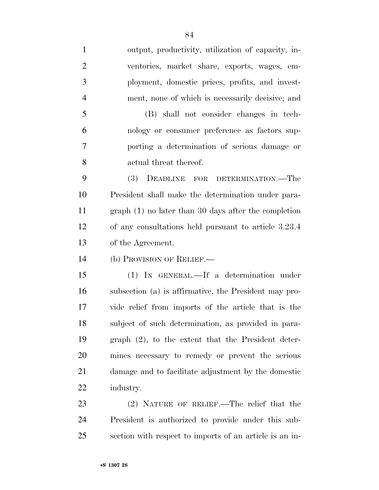output, productivity, utilization of capacity, in- ventories, market share, exports, wages, em- ployment, domestic prices, profits, and invest-ment, none of which is necessarily decisive; and

 (B) shall not consider changes in tech- nology or consumer preference as factors sup- porting a determination of serious damage or actual threat thereof.

 (3) DEADLINE FOR DETERMINATION.—The President shall make the determination under para- graph (1) no later than 30 days after the completion of any consultations held pursuant to article 3.23.4 of the Agreement.

(b) PROVISION OF RELIEF.—

 (1) IN GENERAL.—If a determination under subsection (a) is affirmative, the President may pro- vide relief from imports of the article that is the subject of such determination, as provided in para- graph (2), to the extent that the President deter- mines necessary to remedy or prevent the serious damage and to facilitate adjustment by the domestic industry.

 (2) NATURE OF RELIEF.—The relief that the President is authorized to provide under this sub-section with respect to imports of an article is an in-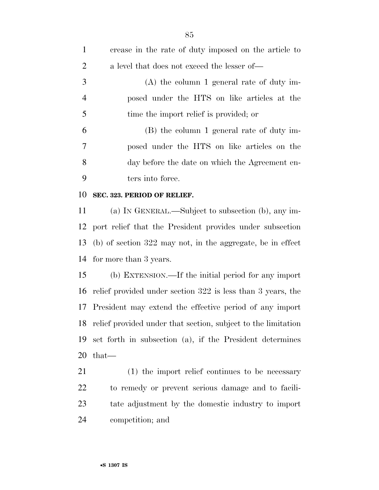| $\mathbf{1}$   | crease in the rate of duty imposed on the article to          |
|----------------|---------------------------------------------------------------|
| $\overline{2}$ | a level that does not exceed the lesser of—                   |
| 3              | $(A)$ the column 1 general rate of duty im-                   |
| $\overline{4}$ | posed under the HTS on like articles at the                   |
| 5              | time the import relief is provided; or                        |
| 6              | (B) the column 1 general rate of duty im-                     |
| 7              | posed under the HTS on like articles on the                   |
| 8              | day before the date on which the Agreement en-                |
| 9              | ters into force.                                              |
| 10             | SEC. 323. PERIOD OF RELIEF.                                   |
| 11             | (a) IN GENERAL.—Subject to subsection (b), any im-            |
| 12             | port relief that the President provides under subsection      |
| 13             | $(b)$ of section 322 may not, in the aggregate, be in effect  |
| 14             | for more than 3 years.                                        |
| 15             | (b) EXTENSION.—If the initial period for any import           |
| 16             | relief provided under section 322 is less than 3 years, the   |
| 17             | President may extend the effective period of any import       |
| 18             | relief provided under that section, subject to the limitation |
| 19             | set forth in subsection (a), if the President determines      |
| 20             | $that-$                                                       |
| 21             | (1) the import relief continues to be necessary               |
| <u>22</u>      | to remedy or prevent serious damage and to facili-            |
| 23             | tate adjustment by the domestic industry to import            |
| 24             | competition; and                                              |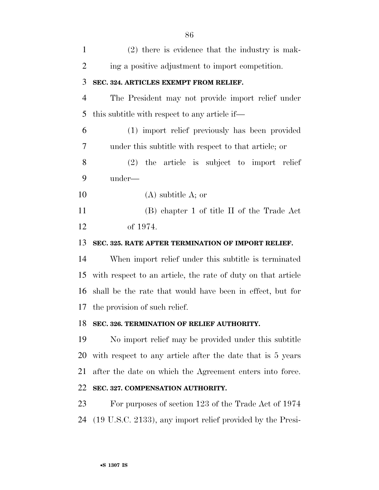| $\mathbf{1}$   | $(2)$ there is evidence that the industry is mak-            |
|----------------|--------------------------------------------------------------|
| $\overline{2}$ | ing a positive adjustment to import competition.             |
| 3              | SEC. 324. ARTICLES EXEMPT FROM RELIEF.                       |
| $\overline{4}$ | The President may not provide import relief under            |
| 5              | this subtitle with respect to any article if—                |
| 6              | (1) import relief previously has been provided               |
| 7              | under this subtitle with respect to that article; or         |
| 8              | $(2)$ the article is subject to import relief                |
| 9              | under—                                                       |
| 10             | $(A)$ subtitle A; or                                         |
| 11             | (B) chapter 1 of title II of the Trade Act                   |
| 12             | of 1974.                                                     |
| 13             | SEC. 325. RATE AFTER TERMINATION OF IMPORT RELIEF.           |
| 14             | When import relief under this subtitle is terminated         |
| 15             | with respect to an article, the rate of duty on that article |
| 16             | shall be the rate that would have been in effect, but for    |
| 17             | the provision of such relief.                                |
| 18             | SEC. 326. TERMINATION OF RELIEF AUTHORITY.                   |
| 19             | No import relief may be provided under this subtitle         |
| 20             | with respect to any article after the date that is 5 years   |
| 21             | after the date on which the Agreement enters into force.     |
| 22             | SEC. 327. COMPENSATION AUTHORITY.                            |
| 23             | For purposes of section 123 of the Trade Act of 1974         |
| 24             | (19 U.S.C. 2133), any import relief provided by the Presi-   |
|                |                                                              |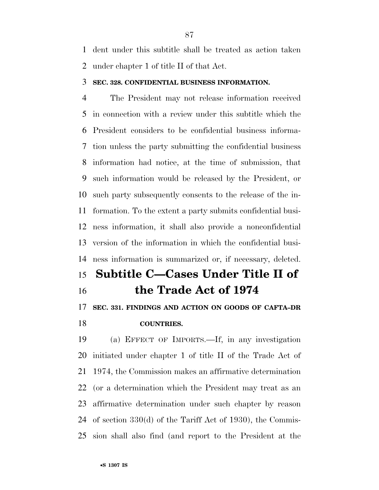dent under this subtitle shall be treated as action taken under chapter 1 of title II of that Act.

#### **SEC. 328. CONFIDENTIAL BUSINESS INFORMATION.**

 The President may not release information received in connection with a review under this subtitle which the President considers to be confidential business informa- tion unless the party submitting the confidential business information had notice, at the time of submission, that such information would be released by the President, or such party subsequently consents to the release of the in- formation. To the extent a party submits confidential busi- ness information, it shall also provide a nonconfidential version of the information in which the confidential busi-ness information is summarized or, if necessary, deleted.

# **Subtitle C—Cases Under Title II of the Trade Act of 1974**

## **SEC. 331. FINDINGS AND ACTION ON GOODS OF CAFTA–DR COUNTRIES.**

 (a) EFFECT OF IMPORTS.—If, in any investigation initiated under chapter 1 of title II of the Trade Act of 1974, the Commission makes an affirmative determination (or a determination which the President may treat as an affirmative determination under such chapter by reason of section 330(d) of the Tariff Act of 1930), the Commis-sion shall also find (and report to the President at the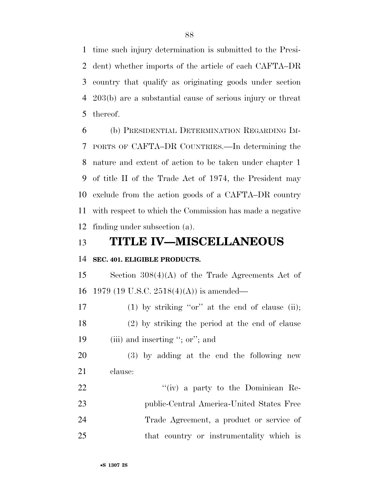time such injury determination is submitted to the Presi- dent) whether imports of the article of each CAFTA–DR country that qualify as originating goods under section 203(b) are a substantial cause of serious injury or threat thereof.

 (b) PRESIDENTIAL DETERMINATION REGARDING IM- PORTS OF CAFTA–DR COUNTRIES.—In determining the nature and extent of action to be taken under chapter 1 of title II of the Trade Act of 1974, the President may exclude from the action goods of a CAFTA–DR country with respect to which the Commission has made a negative finding under subsection (a).

# **TITLE IV—MISCELLANEOUS**

### **SEC. 401. ELIGIBLE PRODUCTS.**

 Section 308(4)(A) of the Trade Agreements Act of 1979 (19 U.S.C. 2518(4)(A)) is amended—

17 (1) by striking "or" at the end of clause (ii); (2) by striking the period at the end of clause 19 (iii) and inserting "; or"; and

 (3) by adding at the end the following new clause:

22 ''(iv) a party to the Dominican Re- public-Central America-United States Free Trade Agreement, a product or service of that country or instrumentality which is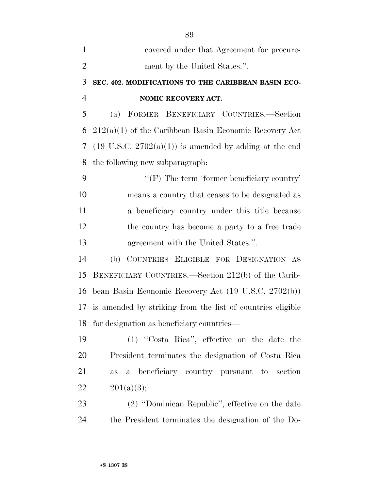| $\mathbf{1}$   | covered under that Agreement for procure-                         |
|----------------|-------------------------------------------------------------------|
| $\overline{2}$ | ment by the United States.".                                      |
| 3              | SEC. 402. MODIFICATIONS TO THE CARIBBEAN BASIN ECO-               |
| $\overline{4}$ | NOMIC RECOVERY ACT.                                               |
| 5              | (a) FORMER BENEFICIARY COUNTRIES.-Section                         |
| 6              | $212(a)(1)$ of the Caribbean Basin Economic Recovery Act          |
| 7              | $(19 \text{ U.S.C. } 2702(a)(1))$ is amended by adding at the end |
| 8              | the following new subparagraph:                                   |
| 9              | " $(F)$ The term 'former beneficiary country'                     |
| 10             | means a country that ceases to be designated as                   |
| 11             | a beneficiary country under this title because                    |
| 12             | the country has become a party to a free trade                    |
| 13             | agreement with the United States.".                               |
| 14             | (b) COUNTRIES ELIGIBLE FOR DESIGNATION AS                         |
| 15             | BENEFICIARY COUNTRIES.—Section 212(b) of the Carib-               |
| 16             | bean Basin Economic Recovery Act (19 U.S.C. 2702(b))              |
| 17             | is amended by striking from the list of countries eligible        |
| 18             | for designation as beneficiary countries—                         |
| 19             | (1) "Costa Rica", effective on the date the                       |
| 20             | President terminates the designation of Costa Rica                |
| 21             | beneficiary country pursuant to<br>section<br>$\mathbf{a}$<br>as  |
| 22             | 201(a)(3);                                                        |
| 23             | (2) "Dominican Republic", effective on the date                   |
| 24             | the President terminates the designation of the Do-               |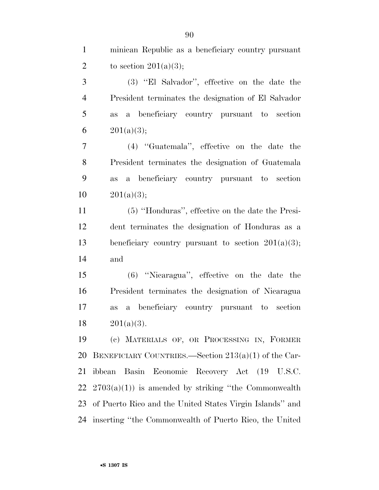minican Republic as a beneficiary country pursuant 2 to section  $201(a)(3)$ ;

 (3) ''El Salvador'', effective on the date the President terminates the designation of El Salvador as a beneficiary country pursuant to section  $201(a)(3);$ 

 (4) ''Guatemala'', effective on the date the President terminates the designation of Guatemala as a beneficiary country pursuant to section  $10 \qquad 201(a)(3);$ 

 (5) ''Honduras'', effective on the date the Presi- dent terminates the designation of Honduras as a beneficiary country pursuant to section 201(a)(3); and

 (6) ''Nicaragua'', effective on the date the President terminates the designation of Nicaragua as a beneficiary country pursuant to section  $201(a)(3)$ .

 (c) MATERIALS OF, OR PROCESSING IN, FORMER BENEFICIARY COUNTRIES.—Section 213(a)(1) of the Car- ibbean Basin Economic Recovery Act (19 U.S.C.  $2703(a)(1)$  is amended by striking "the Commonwealth" of Puerto Rico and the United States Virgin Islands'' and inserting ''the Commonwealth of Puerto Rico, the United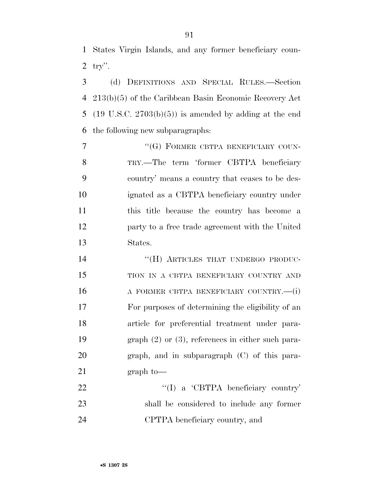States Virgin Islands, and any former beneficiary coun-try''.

 (d) DEFINITIONS AND SPECIAL RULES.—Section 213(b)(5) of the Caribbean Basin Economic Recovery Act (19 U.S.C. 2703(b)(5)) is amended by adding at the end the following new subparagraphs:

7 "(G) FORMER CBTPA BENEFICIARY COUN- TRY.—The term 'former CBTPA beneficiary country' means a country that ceases to be des- ignated as a CBTPA beneficiary country under this title because the country has become a party to a free trade agreement with the United States.

14 "(H) ARTICLES THAT UNDERGO PRODUC- TION IN A CBTPA BENEFICIARY COUNTRY AND 16 A FORMER CBTPA BENEFICIARY COUNTRY.—(i) For purposes of determining the eligibility of an article for preferential treatment under para- graph (2) or (3), references in either such para- graph, and in subparagraph (C) of this para-21 graph to

22 "'(I) a 'CBTPA beneficiary country' shall be considered to include any former CPTPA beneficiary country, and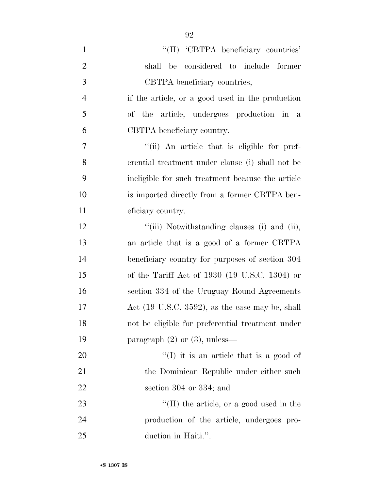| $\mathbf{1}$   | "(II) 'CBTPA beneficiary countries'                         |
|----------------|-------------------------------------------------------------|
| $\overline{2}$ | shall be considered to include former                       |
| 3              | CBTPA beneficiary countries,                                |
| $\overline{4}$ | if the article, or a good used in the production            |
| 5              | of the article, undergoes production in a                   |
| 6              | CBTPA beneficiary country.                                  |
| $\overline{7}$ | "(ii) An article that is eligible for pref-                 |
| 8              | erential treatment under clause (i) shall not be            |
| 9              | ineligible for such treatment because the article           |
| 10             | is imported directly from a former CBTPA ben-               |
| 11             | eficiary country.                                           |
| 12             | "(iii) Notwithstanding clauses (i) and (ii),                |
| 13             | an article that is a good of a former CBTPA                 |
| 14             | beneficiary country for purposes of section 304             |
| 15             | of the Tariff Act of $1930$ (19 U.S.C. 1304) or             |
| 16             | section 334 of the Uruguay Round Agreements                 |
| 17             | Act $(19 \text{ U.S.C. } 3592)$ , as the case may be, shall |
| 18             | not be eligible for preferential treatment under            |
| 19             | paragraph $(2)$ or $(3)$ , unless—                          |
| 20             | $\lq(1)$ it is an article that is a good of                 |
| 21             | the Dominican Republic under either such                    |
| 22             | section $304$ or $334$ ; and                                |
| 23             | $\lq$ (II) the article, or a good used in the               |
| 24             | production of the article, undergoes pro-                   |
| 25             | duction in Haiti.".                                         |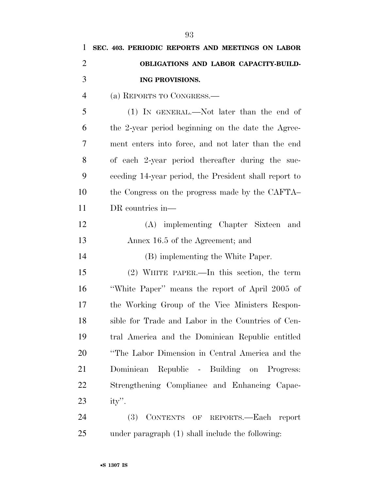| $\mathbf{1}$   | SEC. 403. PERIODIC REPORTS AND MEETINGS ON LABOR      |
|----------------|-------------------------------------------------------|
| $\overline{2}$ | OBLIGATIONS AND LABOR CAPACITY-BUILD-                 |
| 3              | ING PROVISIONS.                                       |
| $\overline{4}$ | (a) REPORTS TO CONGRESS.—                             |
| 5              | $(1)$ In GENERAL.—Not later than the end of           |
| 6              | the 2-year period beginning on the date the Agree-    |
| 7              | ment enters into force, and not later than the end    |
| 8              | of each 2-year period thereafter during the suc-      |
| 9              | ceeding 14-year period, the President shall report to |
| 10             | the Congress on the progress made by the CAFTA        |
| 11             | DR countries in—                                      |
| 12             | (A) implementing Chapter Sixteen and                  |
| 13             | Annex 16.5 of the Agreement; and                      |
| 14             | (B) implementing the White Paper.                     |
| 15             | $(2)$ WHITE PAPER.—In this section, the term          |
| 16             | "White Paper" means the report of April 2005 of       |
| 17             | the Working Group of the Vice Ministers Respon-       |
| 18             | sible for Trade and Labor in the Countries of Cen-    |
| 19             | tral America and the Dominican Republic entitled      |
| 20             | "The Labor Dimension in Central America and the       |
| 21             | Dominican Republic - Building on Progress:            |
| 22             | Strengthening Compliance and Enhancing Capac-         |
| 23             | $ity$ .                                               |
| 24             | (3) CONTENTS OF REPORTS.—Each report                  |
| 25             | under paragraph (1) shall include the following:      |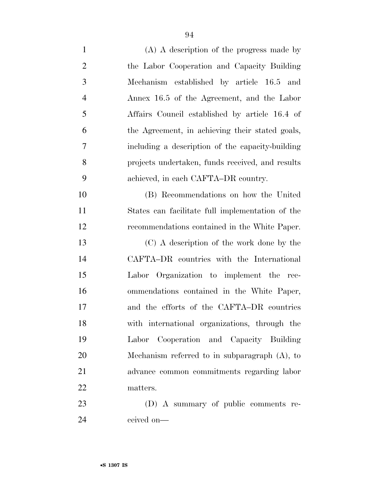| $\mathbf{1}$   | $(A)$ A description of the progress made by      |
|----------------|--------------------------------------------------|
| $\overline{2}$ | the Labor Cooperation and Capacity Building      |
| 3              | Mechanism established by article 16.5 and        |
| $\overline{4}$ | Annex 16.5 of the Agreement, and the Labor       |
| 5              | Affairs Council established by article 16.4 of   |
| 6              | the Agreement, in achieving their stated goals,  |
| 7              | including a description of the capacity-building |
| 8              | projects undertaken, funds received, and results |
| 9              | achieved, in each CAFTA–DR country.              |
| 10             | (B) Recommendations on how the United            |
| 11             | States can facilitate full implementation of the |
| 12             | recommendations contained in the White Paper.    |
| 13             | (C) A description of the work done by the        |
| 14             | CAFTA-DR countries with the International        |
| 15             | Labor Organization to implement the rec-         |
| 16             | ommendations contained in the White Paper,       |
| 17             | and the efforts of the CAFTA-DR countries        |
| 18             | with international organizations, through the    |
| 19             | Labor Cooperation and Capacity Building          |
| 20             | Mechanism referred to in subparagraph $(A)$ , to |
| 21             | advance common commitments regarding labor       |
| 22             | matters.                                         |
| 23             | (D) A summary of public comments re-             |
| 24             | ceived on-                                       |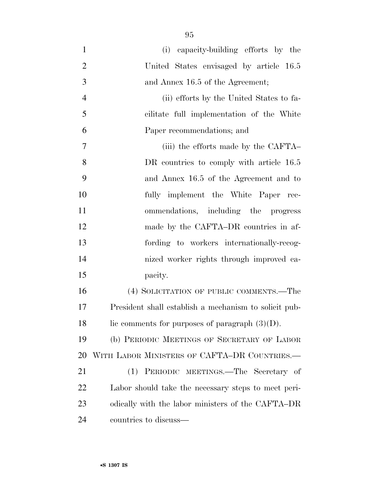(i) capacity-building efforts by the United States envisaged by article 16.5 3 and Annex 16.5 of the Agreement; (ii) efforts by the United States to fa- cilitate full implementation of the White Paper recommendations; and (iii) the efforts made by the CAFTA– 8 DR countries to comply with article 16.5 and Annex 16.5 of the Agreement and to fully implement the White Paper rec- ommendations, including the progress 12 made by the CAFTA–DR countries in af- fording to workers internationally-recog- nized worker rights through improved ca- pacity. (4) SOLICITATION OF PUBLIC COMMENTS.—The

 President shall establish a mechanism to solicit pub-18 lic comments for purposes of paragraph  $(3)(D)$ .

 (b) PERIODIC MEETINGS OF SECRETARY OF LABOR WITH LABOR MINISTERS OF CAFTA–DR COUNTRIES.—

 (1) PERIODIC MEETINGS.—The Secretary of Labor should take the necessary steps to meet peri- odically with the labor ministers of the CAFTA–DR countries to discuss—